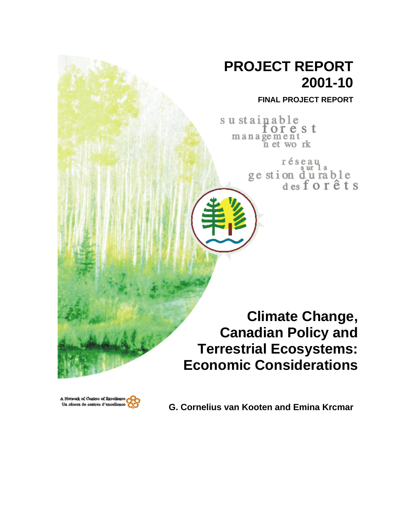## **PROJECT REPORT 2001-10**

**FINAL PROJECT REPORT**

sustainable<br>forest  $m$  a n a  $\widetilde{g}$  e  $m$  e  $n$  t wo rk

> réseau ge stion durable<br>desforêts

**Climate Change, Canadian Policy and Terrestrial Ecosystems: Economic Considerations**



**G. Cornelius van Kooten and Emina Krcmar**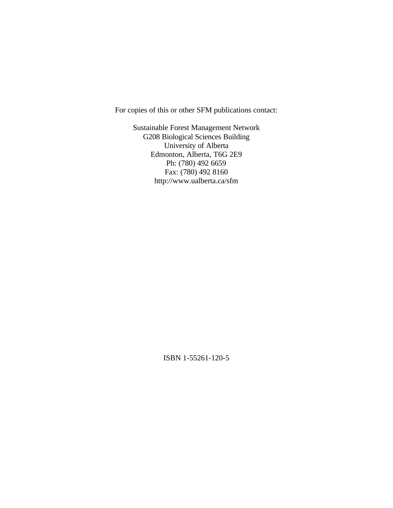For copies of this or other SFM publications contact:

Sustainable Forest Management Network G208 Biological Sciences Building University of Alberta Edmonton, Alberta, T6G 2E9 Ph: (780) 492 6659 Fax: (780) 492 8160 http://www.ualberta.ca/sfm

ISBN 1-55261-120-5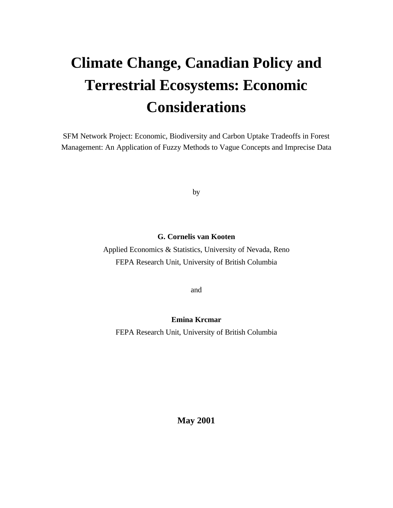# **Climate Change, Canadian Policy and Terrestrial Ecosystems: Economic Considerations**

SFM Network Project: Economic, Biodiversity and Carbon Uptake Tradeoffs in Forest Management: An Application of Fuzzy Methods to Vague Concepts and Imprecise Data

by

#### **G. Cornelis van Kooten**

Applied Economics & Statistics, University of Nevada, Reno FEPA Research Unit, University of British Columbia

and

#### **Emina Krcmar**

FEPA Research Unit, University of British Columbia

**May 2001**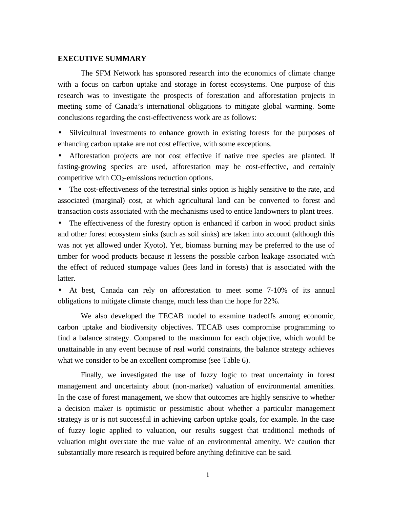#### **EXECUTIVE SUMMARY**

The SFM Network has sponsored research into the economics of climate change with a focus on carbon uptake and storage in forest ecosystems. One purpose of this research was to investigate the prospects of forestation and afforestation projects in meeting some of Canada's international obligations to mitigate global warming. Some conclusions regarding the cost-effectiveness work are as follows:

• Silvicultural investments to enhance growth in existing forests for the purposes of enhancing carbon uptake are not cost effective, with some exceptions.

• Afforestation projects are not cost effective if native tree species are planted. If fasting-growing species are used, afforestation may be cost-effective, and certainly competitive with  $CO<sub>2</sub>$ -emissions reduction options.

• The cost-effectiveness of the terrestrial sinks option is highly sensitive to the rate, and associated (marginal) cost, at which agricultural land can be converted to forest and transaction costs associated with the mechanisms used to entice landowners to plant trees.

• The effectiveness of the forestry option is enhanced if carbon in wood product sinks and other forest ecosystem sinks (such as soil sinks) are taken into account (although this was not yet allowed under Kyoto). Yet, biomass burning may be preferred to the use of timber for wood products because it lessens the possible carbon leakage associated with the effect of reduced stumpage values (lees land in forests) that is associated with the latter.

• At best, Canada can rely on afforestation to meet some 7-10% of its annual obligations to mitigate climate change, much less than the hope for 22%.

We also developed the TECAB model to examine tradeoffs among economic, carbon uptake and biodiversity objectives. TECAB uses compromise programming to find a balance strategy. Compared to the maximum for each objective, which would be unattainable in any event because of real world constraints, the balance strategy achieves what we consider to be an excellent compromise (see Table 6).

Finally, we investigated the use of fuzzy logic to treat uncertainty in forest management and uncertainty about (non-market) valuation of environmental amenities. In the case of forest management, we show that outcomes are highly sensitive to whether a decision maker is optimistic or pessimistic about whether a particular management strategy is or is not successful in achieving carbon uptake goals, for example. In the case of fuzzy logic applied to valuation, our results suggest that traditional methods of valuation might overstate the true value of an environmental amenity. We caution that substantially more research is required before anything definitive can be said.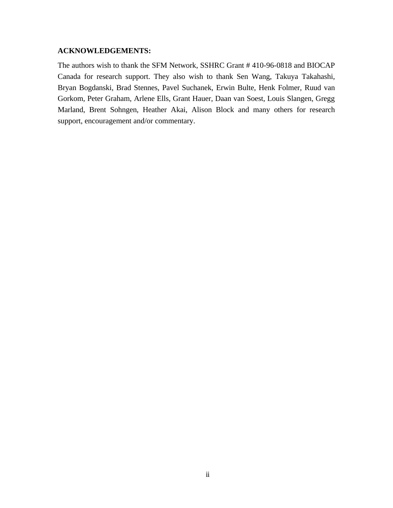#### **ACKNOWLEDGEMENTS:**

The authors wish to thank the SFM Network, SSHRC Grant # 410-96-0818 and BIOCAP Canada for research support. They also wish to thank Sen Wang, Takuya Takahashi, Bryan Bogdanski, Brad Stennes, Pavel Suchanek, Erwin Bulte, Henk Folmer, Ruud van Gorkom, Peter Graham, Arlene Ells, Grant Hauer, Daan van Soest, Louis Slangen, Gregg Marland, Brent Sohngen, Heather Akai, Alison Block and many others for research support, encouragement and/or commentary.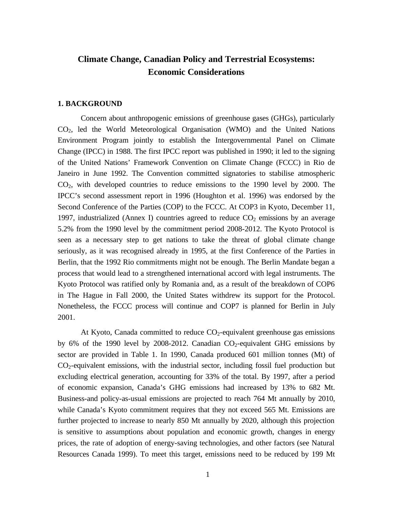### **Climate Change, Canadian Policy and Terrestrial Ecosystems: Economic Considerations**

#### **1. BACKGROUND**

Concern about anthropogenic emissions of greenhouse gases (GHGs), particularly CO2, led the World Meteorological Organisation (WMO) and the United Nations Environment Program jointly to establish the Intergovernmental Panel on Climate Change (IPCC) in 1988. The first IPCC report was published in 1990; it led to the signing of the United Nations' Framework Convention on Climate Change (FCCC) in Rio de Janeiro in June 1992. The Convention committed signatories to stabilise atmospheric  $CO<sub>2</sub>$ , with developed countries to reduce emissions to the 1990 level by 2000. The IPCC's second assessment report in 1996 (Houghton et al. 1996) was endorsed by the Second Conference of the Parties (COP) to the FCCC. At COP3 in Kyoto, December 11, 1997, industrialized (Annex I) countries agreed to reduce  $CO<sub>2</sub>$  emissions by an average 5.2% from the 1990 level by the commitment period 2008-2012. The Kyoto Protocol is seen as a necessary step to get nations to take the threat of global climate change seriously, as it was recognised already in 1995, at the first Conference of the Parties in Berlin, that the 1992 Rio commitments might not be enough. The Berlin Mandate began a process that would lead to a strengthened international accord with legal instruments. The Kyoto Protocol was ratified only by Romania and, as a result of the breakdown of COP6 in The Hague in Fall 2000, the United States withdrew its support for the Protocol. Nonetheless, the FCCC process will continue and COP7 is planned for Berlin in July 2001.

At Kyoto, Canada committed to reduce  $CO<sub>2</sub>$ -equivalent greenhouse gas emissions by 6% of the 1990 level by 2008-2012. Canadian  $CO<sub>2</sub>$ -equivalent GHG emissions by sector are provided in Table 1. In 1990, Canada produced 601 million tonnes (Mt) of CO2-equivalent emissions, with the industrial sector, including fossil fuel production but excluding electrical generation, accounting for 33% of the total. By 1997, after a period of economic expansion, Canada's GHG emissions had increased by 13% to 682 Mt. Business-and policy-as-usual emissions are projected to reach 764 Mt annually by 2010, while Canada's Kyoto commitment requires that they not exceed 565 Mt. Emissions are further projected to increase to nearly 850 Mt annually by 2020, although this projection is sensitive to assumptions about population and economic growth, changes in energy prices, the rate of adoption of energy-saving technologies, and other factors (see Natural Resources Canada 1999). To meet this target, emissions need to be reduced by 199 Mt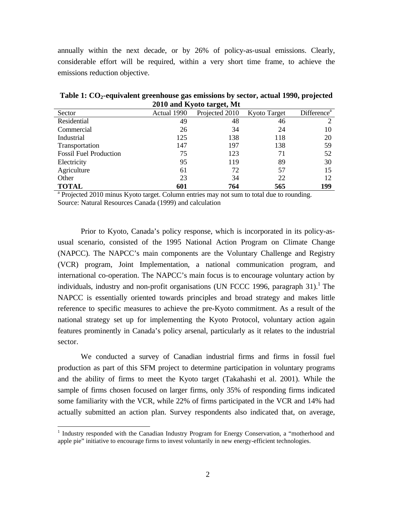annually within the next decade, or by 26% of policy-as-usual emissions. Clearly, considerable effort will be required, within a very short time frame, to achieve the emissions reduction objective.

**Table 1: CO2-equivalent greenhouse gas emissions by sector, actual 1990, projected 2010 and Kyoto target, Mt**

| Sector                        | Actual 1990 | Projected 2010 | <b>Kyoto Target</b> | Difference <sup>a</sup> |
|-------------------------------|-------------|----------------|---------------------|-------------------------|
| Residential                   | 49          | 48             | 46                  |                         |
| Commercial                    | 26          | 34             | 24                  | 10                      |
| Industrial                    | 125         | 138            | 118                 | 20                      |
| Transportation                | 147         | 197            | 138                 | 59                      |
| <b>Fossil Fuel Production</b> | 75          | 123            | 71                  | 52                      |
| Electricity                   | 95          | 119            | 89                  | 30                      |
| Agriculture                   | 61          | 72             | 57                  | 15                      |
| Other                         | 23          | 34             | 22                  | 12                      |
| <b>TOTAL</b>                  | 601         | 764            | 565                 | 199                     |

<sup>a</sup> Projected 2010 minus Kyoto target. Column entries may not sum to total due to rounding. Source: Natural Resources Canada (1999) and calculation

Prior to Kyoto, Canada's policy response, which is incorporated in its policy-asusual scenario, consisted of the 1995 National Action Program on Climate Change (NAPCC). The NAPCC's main components are the Voluntary Challenge and Registry (VCR) program, Joint Implementation, a national communication program, and international co-operation. The NAPCC's main focus is to encourage voluntary action by individuals, industry and non-profit organisations (UN FCCC 1996, paragraph 31).<sup>1</sup> The NAPCC is essentially oriented towards principles and broad strategy and makes little reference to specific measures to achieve the pre-Kyoto commitment. As a result of the national strategy set up for implementing the Kyoto Protocol, voluntary action again features prominently in Canada's policy arsenal, particularly as it relates to the industrial sector.

We conducted a survey of Canadian industrial firms and firms in fossil fuel production as part of this SFM project to determine participation in voluntary programs and the ability of firms to meet the Kyoto target (Takahashi et al. 2001). While the sample of firms chosen focused on larger firms, only 35% of responding firms indicated some familiarity with the VCR, while 22% of firms participated in the VCR and 14% had actually submitted an action plan. Survey respondents also indicated that, on average,

<u>.</u>

<sup>&</sup>lt;sup>1</sup> Industry responded with the Canadian Industry Program for Energy Conservation, a "motherhood and apple pie" initiative to encourage firms to invest voluntarily in new energy-efficient technologies.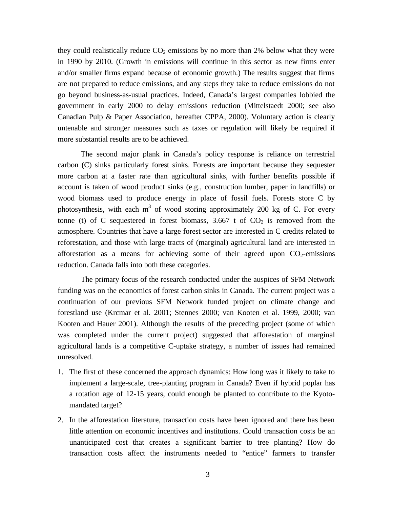they could realistically reduce  $CO<sub>2</sub>$  emissions by no more than 2% below what they were in 1990 by 2010. (Growth in emissions will continue in this sector as new firms enter and/or smaller firms expand because of economic growth.) The results suggest that firms are not prepared to reduce emissions, and any steps they take to reduce emissions do not go beyond business-as-usual practices. Indeed, Canada's largest companies lobbied the government in early 2000 to delay emissions reduction (Mittelstaedt 2000; see also Canadian Pulp & Paper Association, hereafter CPPA, 2000). Voluntary action is clearly untenable and stronger measures such as taxes or regulation will likely be required if more substantial results are to be achieved.

The second major plank in Canada's policy response is reliance on terrestrial carbon (C) sinks particularly forest sinks. Forests are important because they sequester more carbon at a faster rate than agricultural sinks, with further benefits possible if account is taken of wood product sinks (e.g., construction lumber, paper in landfills) or wood biomass used to produce energy in place of fossil fuels. Forests store C by photosynthesis, with each  $m<sup>3</sup>$  of wood storing approximately 200 kg of C. For every tonne (t) of C sequestered in forest biomass, 3.667 t of  $CO<sub>2</sub>$  is removed from the atmosphere. Countries that have a large forest sector are interested in C credits related to reforestation, and those with large tracts of (marginal) agricultural land are interested in afforestation as a means for achieving some of their agreed upon  $CO<sub>2</sub>$ -emissions reduction. Canada falls into both these categories.

The primary focus of the research conducted under the auspices of SFM Network funding was on the economics of forest carbon sinks in Canada. The current project was a continuation of our previous SFM Network funded project on climate change and forestland use (Krcmar et al. 2001; Stennes 2000; van Kooten et al. 1999, 2000; van Kooten and Hauer 2001). Although the results of the preceding project (some of which was completed under the current project) suggested that afforestation of marginal agricultural lands is a competitive C-uptake strategy, a number of issues had remained unresolved.

- 1. The first of these concerned the approach dynamics: How long was it likely to take to implement a large-scale, tree-planting program in Canada? Even if hybrid poplar has a rotation age of 12-15 years, could enough be planted to contribute to the Kyotomandated target?
- 2. In the afforestation literature, transaction costs have been ignored and there has been little attention on economic incentives and institutions. Could transaction costs be an unanticipated cost that creates a significant barrier to tree planting? How do transaction costs affect the instruments needed to "entice" farmers to transfer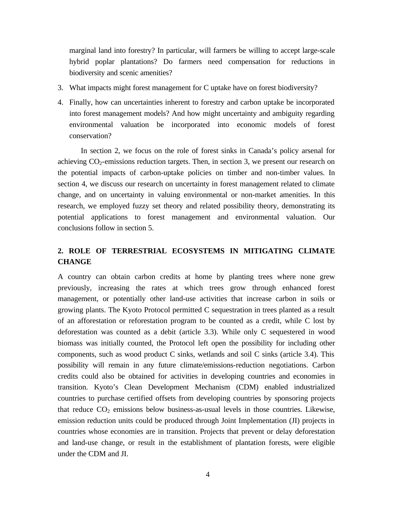marginal land into forestry? In particular, will farmers be willing to accept large-scale hybrid poplar plantations? Do farmers need compensation for reductions in biodiversity and scenic amenities?

- 3. What impacts might forest management for C uptake have on forest biodiversity?
- 4. Finally, how can uncertainties inherent to forestry and carbon uptake be incorporated into forest management models? And how might uncertainty and ambiguity regarding environmental valuation be incorporated into economic models of forest conservation?

In section 2, we focus on the role of forest sinks in Canada's policy arsenal for achieving  $CO_2$ -emissions reduction targets. Then, in section 3, we present our research on the potential impacts of carbon-uptake policies on timber and non-timber values. In section 4, we discuss our research on uncertainty in forest management related to climate change, and on uncertainty in valuing environmental or non-market amenities. In this research, we employed fuzzy set theory and related possibility theory, demonstrating its potential applications to forest management and environmental valuation. Our conclusions follow in section 5.

#### **2. ROLE OF TERRESTRIAL ECOSYSTEMS IN MITIGATING CLIMATE CHANGE**

A country can obtain carbon credits at home by planting trees where none grew previously, increasing the rates at which trees grow through enhanced forest management, or potentially other land-use activities that increase carbon in soils or growing plants. The Kyoto Protocol permitted C sequestration in trees planted as a result of an afforestation or reforestation program to be counted as a credit, while C lost by deforestation was counted as a debit (article 3.3). While only C sequestered in wood biomass was initially counted, the Protocol left open the possibility for including other components, such as wood product C sinks, wetlands and soil C sinks (article 3.4). This possibility will remain in any future climate/emissions-reduction negotiations. Carbon credits could also be obtained for activities in developing countries and economies in transition. Kyoto's Clean Development Mechanism (CDM) enabled industrialized countries to purchase certified offsets from developing countries by sponsoring projects that reduce  $CO<sub>2</sub>$  emissions below business-as-usual levels in those countries. Likewise, emission reduction units could be produced through Joint Implementation (JI) projects in countries whose economies are in transition. Projects that prevent or delay deforestation and land-use change, or result in the establishment of plantation forests, were eligible under the CDM and JI.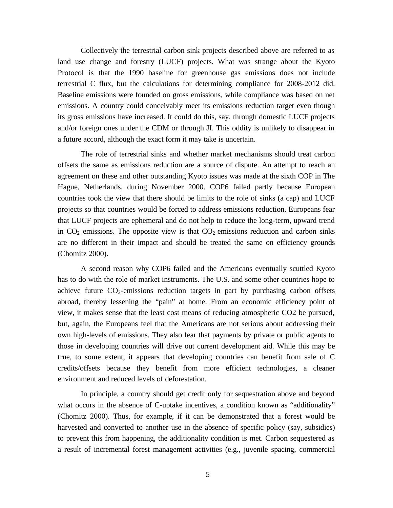Collectively the terrestrial carbon sink projects described above are referred to as land use change and forestry (LUCF) projects. What was strange about the Kyoto Protocol is that the 1990 baseline for greenhouse gas emissions does not include terrestrial C flux, but the calculations for determining compliance for 2008-2012 did. Baseline emissions were founded on gross emissions, while compliance was based on net emissions. A country could conceivably meet its emissions reduction target even though its gross emissions have increased. It could do this, say, through domestic LUCF projects and/or foreign ones under the CDM or through JI. This oddity is unlikely to disappear in a future accord, although the exact form it may take is uncertain.

The role of terrestrial sinks and whether market mechanisms should treat carbon offsets the same as emissions reduction are a source of dispute. An attempt to reach an agreement on these and other outstanding Kyoto issues was made at the sixth COP in The Hague, Netherlands, during November 2000. COP6 failed partly because European countries took the view that there should be limits to the role of sinks (a cap) and LUCF projects so that countries would be forced to address emissions reduction. Europeans fear that LUCF projects are ephemeral and do not help to reduce the long-term, upward trend in  $CO<sub>2</sub>$  emissions. The opposite view is that  $CO<sub>2</sub>$  emissions reduction and carbon sinks are no different in their impact and should be treated the same on efficiency grounds (Chomitz 2000).

A second reason why COP6 failed and the Americans eventually scuttled Kyoto has to do with the role of market instruments. The U.S. and some other countries hope to achieve future  $CO<sub>2</sub>$ -emissions reduction targets in part by purchasing carbon offsets abroad, thereby lessening the "pain" at home. From an economic efficiency point of view, it makes sense that the least cost means of reducing atmospheric CO2 be pursued, but, again, the Europeans feel that the Americans are not serious about addressing their own high-levels of emissions. They also fear that payments by private or public agents to those in developing countries will drive out current development aid. While this may be true, to some extent, it appears that developing countries can benefit from sale of C credits/offsets because they benefit from more efficient technologies, a cleaner environment and reduced levels of deforestation.

In principle, a country should get credit only for sequestration above and beyond what occurs in the absence of C-uptake incentives, a condition known as "additionality" (Chomitz 2000). Thus, for example, if it can be demonstrated that a forest would be harvested and converted to another use in the absence of specific policy (say, subsidies) to prevent this from happening, the additionality condition is met. Carbon sequestered as a result of incremental forest management activities (e.g., juvenile spacing, commercial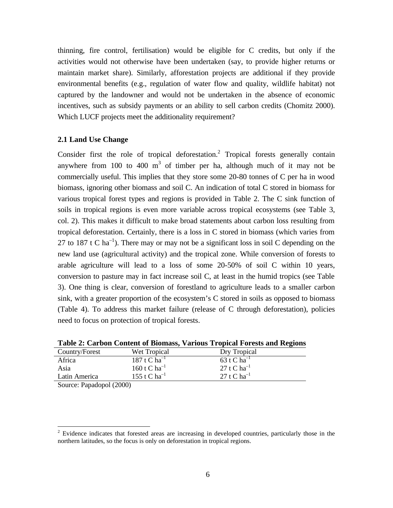thinning, fire control, fertilisation) would be eligible for C credits, but only if the activities would not otherwise have been undertaken (say, to provide higher returns or maintain market share). Similarly, afforestation projects are additional if they provide environmental benefits (e.g., regulation of water flow and quality, wildlife habitat) not captured by the landowner and would not be undertaken in the absence of economic incentives, such as subsidy payments or an ability to sell carbon credits (Chomitz 2000). Which LUCF projects meet the additionality requirement?

#### **2.1 Land Use Change**

Consider first the role of tropical deforestation.<sup>2</sup> Tropical forests generally contain anywhere from 100 to 400  $m<sup>3</sup>$  of timber per ha, although much of it may not be commercially useful. This implies that they store some 20-80 tonnes of C per ha in wood biomass, ignoring other biomass and soil C. An indication of total C stored in biomass for various tropical forest types and regions is provided in Table 2. The C sink function of soils in tropical regions is even more variable across tropical ecosystems (see Table 3, col. 2). This makes it difficult to make broad statements about carbon loss resulting from tropical deforestation. Certainly, there is a loss in C stored in biomass (which varies from 27 to 187 t C ha<sup>-1</sup>). There may or may not be a significant loss in soil C depending on the new land use (agricultural activity) and the tropical zone. While conversion of forests to arable agriculture will lead to a loss of some 20-50% of soil C within 10 years, conversion to pasture may in fact increase soil C, at least in the humid tropics (see Table 3). One thing is clear, conversion of forestland to agriculture leads to a smaller carbon sink, with a greater proportion of the ecosystem's C stored in soils as opposed to biomass (Table 4). To address this market failure (release of C through deforestation), policies need to focus on protection of tropical forests.

|                |                   | Table 2: Carbon Content of Biomass, various Tropical Porests and Regions |
|----------------|-------------------|--------------------------------------------------------------------------|
| Country/Forest | Wet Tropical      | Dry Tropical                                                             |
| Africa         | 187 t C $ha^{-1}$ | 63 t C $ha^{-1}$                                                         |
| Asia           | 160 t C $ha^{-1}$ | 27 t C $ha^{-1}$                                                         |
| Latin America  | 155 t C $ha^{-1}$ | 27 t C $ha^{-1}$                                                         |
| $\sim$ $\sim$  | 1/2000            |                                                                          |

**Table 2: Carbon Content of Biomass, Various Tropical Forests and Regions**

Source: Papadopol (2000)

<u>.</u>

 $2$  Evidence indicates that forested areas are increasing in developed countries, particularly those in the northern latitudes, so the focus is only on deforestation in tropical regions.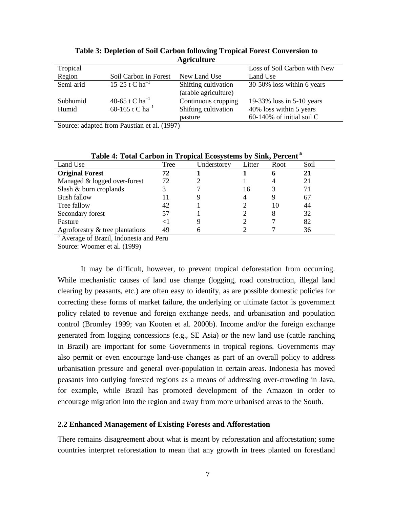| 11.11.1   |                             |                      |                              |  |  |
|-----------|-----------------------------|----------------------|------------------------------|--|--|
| Tropical  |                             |                      | Loss of Soil Carbon with New |  |  |
| Region    | Soil Carbon in Forest       | New Land Use         | Land Use                     |  |  |
| Semi-arid | 15-25 t C $ha^{-1}$         | Shifting cultivation | 30-50% loss within 6 years   |  |  |
|           |                             | (arable agriculture) |                              |  |  |
| Subhumid  | 40-65 t C ha <sup>-1</sup>  | Continuous cropping  | 19-33% loss in 5-10 years    |  |  |
| Humid     | 60-165 t C ha <sup>-1</sup> | Shifting cultivation | 40% loss within 5 years      |  |  |
|           |                             | pasture              | $60-140\%$ of initial soil C |  |  |

**Table 3: Depletion of Soil Carbon following Tropical Forest Conversion to Agriculture**

Source: adapted from Paustian et al. (1997)

| Land Use                           | Tree | Understorey | Litter | Root | Soil |
|------------------------------------|------|-------------|--------|------|------|
| <b>Original Forest</b>             | 72   |             |        | h    | 21   |
| Managed & logged over-forest       | 72   |             |        |      | 21   |
| Slash & burn croplands             |      |             | 16     |      | 71   |
| <b>Bush fallow</b>                 |      |             | 4      |      | 67   |
| Tree fallow                        | 42   |             |        | 10   | 44   |
| Secondary forest                   | 57   |             |        | 8    | 32   |
| Pasture                            |      |             |        |      | 82   |
| Agroforestry $\&$ tree plantations | 49   |             |        |      | 36   |

**Table 4: Total Carbon in Tropical Ecosystems by Sink, Percent<sup>a</sup>**

<sup>a</sup> Average of Brazil, Indonesia and Peru

Source: Woomer et al. (1999)

It may be difficult, however, to prevent tropical deforestation from occurring. While mechanistic causes of land use change (logging, road construction, illegal land clearing by peasants, etc.) are often easy to identify, as are possible domestic policies for correcting these forms of market failure, the underlying or ultimate factor is government policy related to revenue and foreign exchange needs, and urbanisation and population control (Bromley 1999; van Kooten et al. 2000b). Income and/or the foreign exchange generated from logging concessions (e.g., SE Asia) or the new land use (cattle ranching in Brazil) are important for some Governments in tropical regions. Governments may also permit or even encourage land-use changes as part of an overall policy to address urbanisation pressure and general over-population in certain areas. Indonesia has moved peasants into outlying forested regions as a means of addressing over-crowding in Java, for example, while Brazil has promoted development of the Amazon in order to encourage migration into the region and away from more urbanised areas to the South.

#### **2.2 Enhanced Management of Existing Forests and Afforestation**

There remains disagreement about what is meant by reforestation and afforestation; some countries interpret reforestation to mean that any growth in trees planted on forestland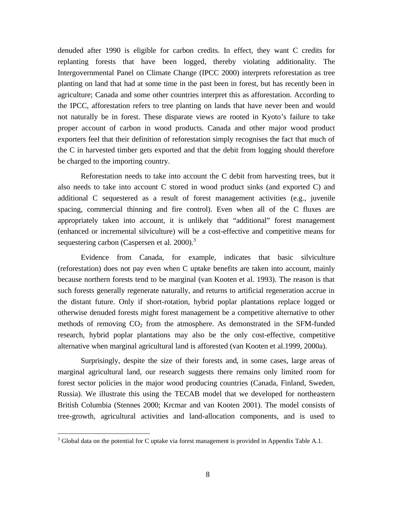denuded after 1990 is eligible for carbon credits. In effect, they want C credits for replanting forests that have been logged, thereby violating additionality. The Intergovernmental Panel on Climate Change (IPCC 2000) interprets reforestation as tree planting on land that had at some time in the past been in forest, but has recently been in agriculture; Canada and some other countries interpret this as afforestation. According to the IPCC, afforestation refers to tree planting on lands that have never been and would not naturally be in forest. These disparate views are rooted in Kyoto's failure to take proper account of carbon in wood products. Canada and other major wood product exporters feel that their definition of reforestation simply recognises the fact that much of the C in harvested timber gets exported and that the debit from logging should therefore be charged to the importing country.

Reforestation needs to take into account the C debit from harvesting trees, but it also needs to take into account C stored in wood product sinks (and exported C) and additional C sequestered as a result of forest management activities (e.g., juvenile spacing, commercial thinning and fire control). Even when all of the C fluxes are appropriately taken into account, it is unlikely that "additional" forest management (enhanced or incremental silviculture) will be a cost-effective and competitive means for sequestering carbon (Caspersen et al. 2000).<sup>3</sup>

Evidence from Canada, for example, indicates that basic silviculture (reforestation) does not pay even when C uptake benefits are taken into account, mainly because northern forests tend to be marginal (van Kooten et al. 1993). The reason is that such forests generally regenerate naturally, and returns to artificial regeneration accrue in the distant future. Only if short-rotation, hybrid poplar plantations replace logged or otherwise denuded forests might forest management be a competitive alternative to other methods of removing  $CO<sub>2</sub>$  from the atmosphere. As demonstrated in the SFM-funded research, hybrid poplar plantations may also be the only cost-effective, competitive alternative when marginal agricultural land is afforested (van Kooten et al.1999, 2000a).

Surprisingly, despite the size of their forests and, in some cases, large areas of marginal agricultural land, our research suggests there remains only limited room for forest sector policies in the major wood producing countries (Canada, Finland, Sweden, Russia). We illustrate this using the TECAB model that we developed for northeastern British Columbia (Stennes 2000; Krcmar and van Kooten 2001). The model consists of tree-growth, agricultural activities and land-allocation components, and is used to

 $\overline{a}$ 

 $3$  Global data on the potential for C uptake via forest management is provided in Appendix Table A.1.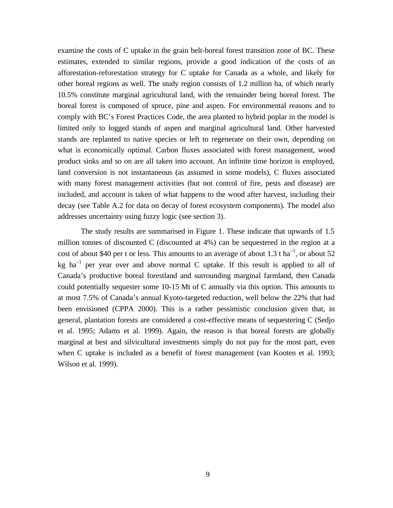examine the costs of C uptake in the grain belt-boreal forest transition zone of BC. These estimates, extended to similar regions, provide a good indication of the costs of an afforestation-reforestation strategy for C uptake for Canada as a whole, and likely for other boreal regions as well. The study region consists of 1.2 million ha, of which nearly 10.5% constitute marginal agricultural land, with the remainder being boreal forest. The boreal forest is composed of spruce, pine and aspen. For environmental reasons and to comply with BC's Forest Practices Code, the area planted to hybrid poplar in the model is limited only to logged stands of aspen and marginal agricultural land. Other harvested stands are replanted to native species or left to regenerate on their own, depending on what is economically optimal. Carbon fluxes associated with forest management, wood product sinks and so on are all taken into account. An infinite time horizon is employed, land conversion is not instantaneous (as assumed in some models), C fluxes associated with many forest management activities (but not control of fire, pests and disease) are included, and account is taken of what happens to the wood after harvest, including their decay (see Table A.2 for data on decay of forest ecosystem components). The model also addresses uncertainty using fuzzy logic (see section 3).

The study results are summarised in Figure 1. These indicate that upwards of 1.5 million tonnes of discounted C (discounted at 4%) can be sequestered in the region at a cost of about \$40 per t or less. This amounts to an average of about 1.3 t ha<sup>-1</sup>, or about 52 kg ha<sup>-1</sup> per year over and above normal C uptake. If this result is applied to all of Canada's productive boreal forestland and surrounding marginal farmland, then Canada could potentially sequester some 10-15 Mt of C annually via this option. This amounts to at most 7.5% of Canada's annual Kyoto-targeted reduction, well below the 22% that had been envisioned (CPPA 2000). This is a rather pessimistic conclusion given that, in general, plantation forests are considered a cost-effective means of sequestering C (Sedjo et al. 1995; Adams et al. 1999). Again, the reason is that boreal forests are globally marginal at best and silvicultural investments simply do not pay for the most part, even when C uptake is included as a benefit of forest management (van Kooten et al. 1993; Wilson et al. 1999).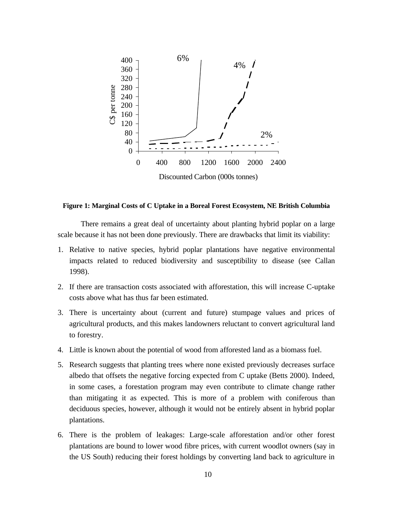

#### **Figure 1: Marginal Costs of C Uptake in a Boreal Forest Ecosystem, NE British Columbia**

There remains a great deal of uncertainty about planting hybrid poplar on a large scale because it has not been done previously. There are drawbacks that limit its viability:

- 1. Relative to native species, hybrid poplar plantations have negative environmental impacts related to reduced biodiversity and susceptibility to disease (see Callan 1998).
- 2. If there are transaction costs associated with afforestation, this will increase C-uptake costs above what has thus far been estimated.
- 3. There is uncertainty about (current and future) stumpage values and prices of agricultural products, and this makes landowners reluctant to convert agricultural land to forestry.
- 4. Little is known about the potential of wood from afforested land as a biomass fuel.
- 5. Research suggests that planting trees where none existed previously decreases surface albedo that offsets the negative forcing expected from C uptake (Betts 2000). Indeed, in some cases, a forestation program may even contribute to climate change rather than mitigating it as expected. This is more of a problem with coniferous than deciduous species, however, although it would not be entirely absent in hybrid poplar plantations.
- 6. There is the problem of leakages: Large-scale afforestation and/or other forest plantations are bound to lower wood fibre prices, with current woodlot owners (say in the US South) reducing their forest holdings by converting land back to agriculture in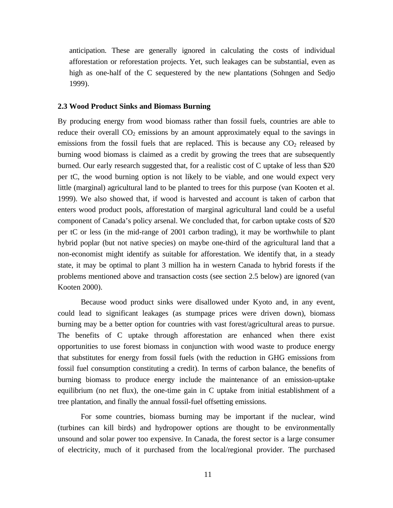anticipation. These are generally ignored in calculating the costs of individual afforestation or reforestation projects. Yet, such leakages can be substantial, even as high as one-half of the C sequestered by the new plantations (Sohngen and Sedjo 1999).

#### **2.3 Wood Product Sinks and Biomass Burning**

By producing energy from wood biomass rather than fossil fuels, countries are able to reduce their overall  $CO<sub>2</sub>$  emissions by an amount approximately equal to the savings in emissions from the fossil fuels that are replaced. This is because any  $CO<sub>2</sub>$  released by burning wood biomass is claimed as a credit by growing the trees that are subsequently burned. Our early research suggested that, for a realistic cost of C uptake of less than \$20 per tC, the wood burning option is not likely to be viable, and one would expect very little (marginal) agricultural land to be planted to trees for this purpose (van Kooten et al. 1999). We also showed that, if wood is harvested and account is taken of carbon that enters wood product pools, afforestation of marginal agricultural land could be a useful component of Canada's policy arsenal. We concluded that, for carbon uptake costs of \$20 per tC or less (in the mid-range of 2001 carbon trading), it may be worthwhile to plant hybrid poplar (but not native species) on maybe one-third of the agricultural land that a non-economist might identify as suitable for afforestation. We identify that, in a steady state, it may be optimal to plant 3 million ha in western Canada to hybrid forests if the problems mentioned above and transaction costs (see section 2.5 below) are ignored (van Kooten 2000).

Because wood product sinks were disallowed under Kyoto and, in any event, could lead to significant leakages (as stumpage prices were driven down), biomass burning may be a better option for countries with vast forest/agricultural areas to pursue. The benefits of C uptake through afforestation are enhanced when there exist opportunities to use forest biomass in conjunction with wood waste to produce energy that substitutes for energy from fossil fuels (with the reduction in GHG emissions from fossil fuel consumption constituting a credit). In terms of carbon balance, the benefits of burning biomass to produce energy include the maintenance of an emission-uptake equilibrium (no net flux), the one-time gain in C uptake from initial establishment of a tree plantation, and finally the annual fossil-fuel offsetting emissions.

For some countries, biomass burning may be important if the nuclear, wind (turbines can kill birds) and hydropower options are thought to be environmentally unsound and solar power too expensive. In Canada, the forest sector is a large consumer of electricity, much of it purchased from the local/regional provider. The purchased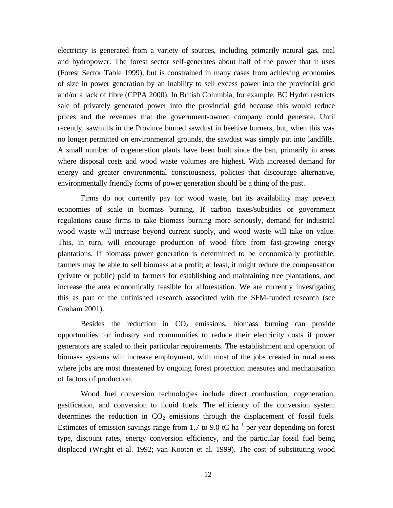electricity is generated from a variety of sources, including primarily natural gas, coal and hydropower. The forest sector self-generates about half of the power that it uses (Forest Sector Table 1999), but is constrained in many cases from achieving economies of size in power generation by an inability to sell excess power into the provincial grid and/or a lack of fibre (CPPA 2000). In British Columbia, for example, BC Hydro restricts sale of privately generated power into the provincial grid because this would reduce prices and the revenues that the government-owned company could generate. Until recently, sawmills in the Province burned sawdust in beehive burners, but, when this was no longer permitted on environmental grounds, the sawdust was simply put into landfills. A small number of cogeneration plants have been built since the ban, primarily in areas where disposal costs and wood waste volumes are highest. With increased demand for energy and greater environmental consciousness, policies that discourage alternative, environmentally friendly forms of power generation should be a thing of the past.

Firms do not currently pay for wood waste, but its availability may prevent economies of scale in biomass burning. If carbon taxes/subsidies or government regulations cause firms to take biomass burning more seriously, demand for industrial wood waste will increase beyond current supply, and wood waste will take on value. This, in turn, will encourage production of wood fibre from fast-growing energy plantations. If biomass power generation is determined to be economically profitable, farmers may be able to sell biomass at a profit; at least, it might reduce the compensation (private or public) paid to farmers for establishing and maintaining tree plantations, and increase the area economically feasible for afforestation. We are currently investigating this as part of the unfinished research associated with the SFM-funded research (see Graham 2001).

Besides the reduction in  $CO<sub>2</sub>$  emissions, biomass burning can provide opportunities for industry and communities to reduce their electricity costs if power generators are scaled to their particular requirements. The establishment and operation of biomass systems will increase employment, with most of the jobs created in rural areas where jobs are most threatened by ongoing forest protection measures and mechanisation of factors of production.

Wood fuel conversion technologies include direct combustion, cogeneration, gasification, and conversion to liquid fuels. The efficiency of the conversion system determines the reduction in  $CO<sub>2</sub>$  emissions through the displacement of fossil fuels. Estimates of emission savings range from 1.7 to 9.0 tC ha<sup>-1</sup> per year depending on forest type, discount rates, energy conversion efficiency, and the particular fossil fuel being displaced (Wright et al. 1992; van Kooten et al. 1999). The cost of substituting wood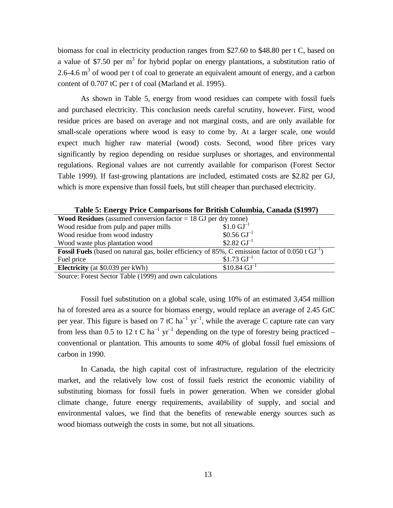biomass for coal in electricity production ranges from \$27.60 to \$48.80 per t C, based on a value of \$7.50 per  $m<sup>3</sup>$  for hybrid poplar on energy plantations, a substitution ratio of 2.6-4.6  $m<sup>3</sup>$  of wood per t of coal to generate an equivalent amount of energy, and a carbon content of 0.707 tC per t of coal (Marland et al. 1995).

As shown in Table 5, energy from wood residues can compete with fossil fuels and purchased electricity. This conclusion needs careful scrutiny, however. First, wood residue prices are based on average and not marginal costs, and are only available for small-scale operations where wood is easy to come by. At a larger scale, one would expect much higher raw material (wood) costs. Second, wood fibre prices vary significantly by region depending on residue surpluses or shortages, and environmental regulations. Regional values are not currently available for comparison (Forest Sector Table 1999). If fast-growing plantations are included, estimated costs are \$2.82 per GJ, which is more expensive than fossil fuels, but still cheaper than purchased electricity.

|                                                                                                               | Table 5: Ellergy Frice Comparisons for Briush Columbia, Canada (51997) |  |  |  |  |
|---------------------------------------------------------------------------------------------------------------|------------------------------------------------------------------------|--|--|--|--|
| <b>Wood Residues</b> (assumed conversion factor $= 18$ GJ per dry tonne)                                      |                                                                        |  |  |  |  |
| Wood residue from pulp and paper mills                                                                        | $$1.0 \text{ GJ}^{-1}$$                                                |  |  |  |  |
| Wood residue from wood industry                                                                               | $$0.56 \text{ GJ}^{-1}$$                                               |  |  |  |  |
| Wood waste plus plantation wood                                                                               | \$2.82 $GI^{-1}$                                                       |  |  |  |  |
| <b>Fossil Fuels</b> (based on natural gas, boiler efficiency of 85%, C emission factor of 0.050 t $GI^{-1}$ ) |                                                                        |  |  |  |  |
| Fuel price                                                                                                    | $$1.73 \text{ GJ}^{-1}$$                                               |  |  |  |  |
| <b>Electricity</b> (at \$0.039 per kWh)                                                                       | $$10.84 \text{ GJ}^{-1}$$                                              |  |  |  |  |

**Table 5: Energy Price Comparisons for British Columbia, Canada (\$1997)**

Source: Forest Sector Table (1999) and own calculations

Fossil fuel substitution on a global scale, using 10% of an estimated 3,454 million ha of forested area as a source for biomass energy, would replace an average of 2.45 GtC per year. This figure is based on 7 tC ha<sup>-1</sup> yr<sup>-1</sup>, while the average C capture rate can vary from less than 0.5 to 12 t C ha<sup>-1</sup> yr<sup>-1</sup> depending on the type of forestry being practiced – conventional or plantation. This amounts to some 40% of global fossil fuel emissions of carbon in 1990.

In Canada, the high capital cost of infrastructure, regulation of the electricity market, and the relatively low cost of fossil fuels restrict the economic viability of substituting biomass for fossil fuels in power generation. When we consider global climate change, future energy requirements, availability of supply, and social and environmental values, we find that the benefits of renewable energy sources such as wood biomass outweigh the costs in some, but not all situations.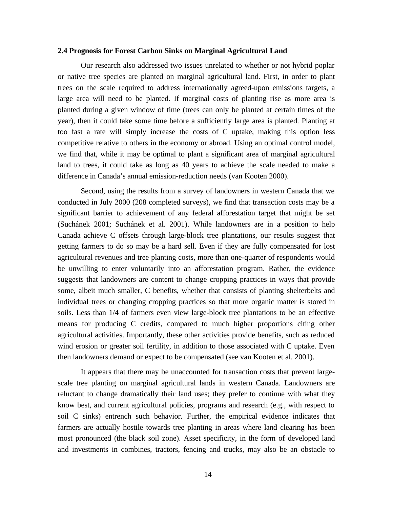#### **2.4 Prognosis for Forest Carbon Sinks on Marginal Agricultural Land**

Our research also addressed two issues unrelated to whether or not hybrid poplar or native tree species are planted on marginal agricultural land. First, in order to plant trees on the scale required to address internationally agreed-upon emissions targets, a large area will need to be planted. If marginal costs of planting rise as more area is planted during a given window of time (trees can only be planted at certain times of the year), then it could take some time before a sufficiently large area is planted. Planting at too fast a rate will simply increase the costs of C uptake, making this option less competitive relative to others in the economy or abroad. Using an optimal control model, we find that, while it may be optimal to plant a significant area of marginal agricultural land to trees, it could take as long as 40 years to achieve the scale needed to make a difference in Canada's annual emission-reduction needs (van Kooten 2000).

Second, using the results from a survey of landowners in western Canada that we conducted in July 2000 (208 completed surveys), we find that transaction costs may be a significant barrier to achievement of any federal afforestation target that might be set (Suchánek 2001; Suchánek et al. 2001). While landowners are in a position to help Canada achieve C offsets through large-block tree plantations, our results suggest that getting farmers to do so may be a hard sell. Even if they are fully compensated for lost agricultural revenues and tree planting costs, more than one-quarter of respondents would be unwilling to enter voluntarily into an afforestation program. Rather, the evidence suggests that landowners are content to change cropping practices in ways that provide some, albeit much smaller, C benefits, whether that consists of planting shelterbelts and individual trees or changing cropping practices so that more organic matter is stored in soils. Less than 1/4 of farmers even view large-block tree plantations to be an effective means for producing C credits, compared to much higher proportions citing other agricultural activities. Importantly, these other activities provide benefits, such as reduced wind erosion or greater soil fertility, in addition to those associated with C uptake. Even then landowners demand or expect to be compensated (see van Kooten et al. 2001).

It appears that there may be unaccounted for transaction costs that prevent largescale tree planting on marginal agricultural lands in western Canada. Landowners are reluctant to change dramatically their land uses; they prefer to continue with what they know best, and current agricultural policies, programs and research (e.g., with respect to soil C sinks) entrench such behavior. Further, the empirical evidence indicates that farmers are actually hostile towards tree planting in areas where land clearing has been most pronounced (the black soil zone). Asset specificity, in the form of developed land and investments in combines, tractors, fencing and trucks, may also be an obstacle to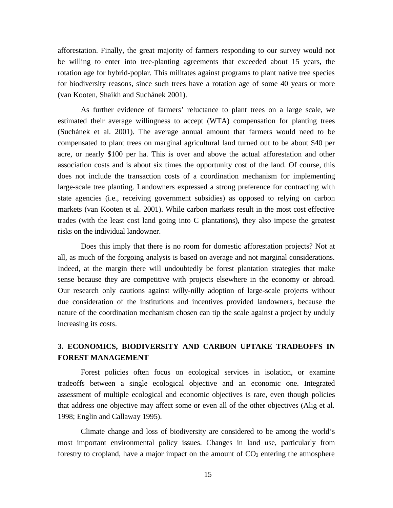afforestation. Finally, the great majority of farmers responding to our survey would not be willing to enter into tree-planting agreements that exceeded about 15 years, the rotation age for hybrid-poplar. This militates against programs to plant native tree species for biodiversity reasons, since such trees have a rotation age of some 40 years or more (van Kooten, Shaikh and Suchánek 2001).

As further evidence of farmers' reluctance to plant trees on a large scale, we estimated their average willingness to accept (WTA) compensation for planting trees (Suchánek et al. 2001). The average annual amount that farmers would need to be compensated to plant trees on marginal agricultural land turned out to be about \$40 per acre, or nearly \$100 per ha. This is over and above the actual afforestation and other association costs and is about six times the opportunity cost of the land. Of course, this does not include the transaction costs of a coordination mechanism for implementing large-scale tree planting. Landowners expressed a strong preference for contracting with state agencies (i.e., receiving government subsidies) as opposed to relying on carbon markets (van Kooten et al. 2001). While carbon markets result in the most cost effective trades (with the least cost land going into C plantations), they also impose the greatest risks on the individual landowner.

Does this imply that there is no room for domestic afforestation projects? Not at all, as much of the forgoing analysis is based on average and not marginal considerations. Indeed, at the margin there will undoubtedly be forest plantation strategies that make sense because they are competitive with projects elsewhere in the economy or abroad. Our research only cautions against willy-nilly adoption of large-scale projects without due consideration of the institutions and incentives provided landowners, because the nature of the coordination mechanism chosen can tip the scale against a project by unduly increasing its costs.

#### **3. ECONOMICS, BIODIVERSITY AND CARBON UPTAKE TRADEOFFS IN FOREST MANAGEMENT**

Forest policies often focus on ecological services in isolation, or examine tradeoffs between a single ecological objective and an economic one. Integrated assessment of multiple ecological and economic objectives is rare, even though policies that address one objective may affect some or even all of the other objectives (Alig et al. 1998; Englin and Callaway 1995).

Climate change and loss of biodiversity are considered to be among the world's most important environmental policy issues. Changes in land use, particularly from forestry to cropland, have a major impact on the amount of  $CO<sub>2</sub>$  entering the atmosphere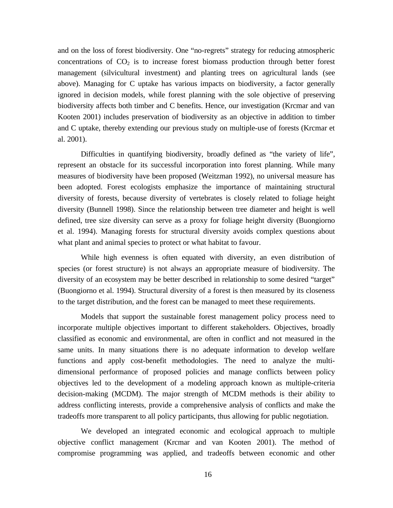and on the loss of forest biodiversity. One "no-regrets" strategy for reducing atmospheric concentrations of  $CO<sub>2</sub>$  is to increase forest biomass production through better forest management (silvicultural investment) and planting trees on agricultural lands (see above). Managing for C uptake has various impacts on biodiversity, a factor generally ignored in decision models, while forest planning with the sole objective of preserving biodiversity affects both timber and C benefits. Hence, our investigation (Krcmar and van Kooten 2001) includes preservation of biodiversity as an objective in addition to timber and C uptake, thereby extending our previous study on multiple-use of forests (Krcmar et al. 2001).

Difficulties in quantifying biodiversity, broadly defined as "the variety of life", represent an obstacle for its successful incorporation into forest planning. While many measures of biodiversity have been proposed (Weitzman 1992), no universal measure has been adopted. Forest ecologists emphasize the importance of maintaining structural diversity of forests, because diversity of vertebrates is closely related to foliage height diversity (Bunnell 1998). Since the relationship between tree diameter and height is well defined, tree size diversity can serve as a proxy for foliage height diversity (Buongiorno et al. 1994). Managing forests for structural diversity avoids complex questions about what plant and animal species to protect or what habitat to favour.

While high evenness is often equated with diversity, an even distribution of species (or forest structure) is not always an appropriate measure of biodiversity. The diversity of an ecosystem may be better described in relationship to some desired "target" (Buongiorno et al. 1994). Structural diversity of a forest is then measured by its closeness to the target distribution, and the forest can be managed to meet these requirements.

Models that support the sustainable forest management policy process need to incorporate multiple objectives important to different stakeholders. Objectives, broadly classified as economic and environmental, are often in conflict and not measured in the same units. In many situations there is no adequate information to develop welfare functions and apply cost-benefit methodologies. The need to analyze the multidimensional performance of proposed policies and manage conflicts between policy objectives led to the development of a modeling approach known as multiple-criteria decision-making (MCDM). The major strength of MCDM methods is their ability to address conflicting interests, provide a comprehensive analysis of conflicts and make the tradeoffs more transparent to all policy participants, thus allowing for public negotiation.

We developed an integrated economic and ecological approach to multiple objective conflict management (Krcmar and van Kooten 2001). The method of compromise programming was applied, and tradeoffs between economic and other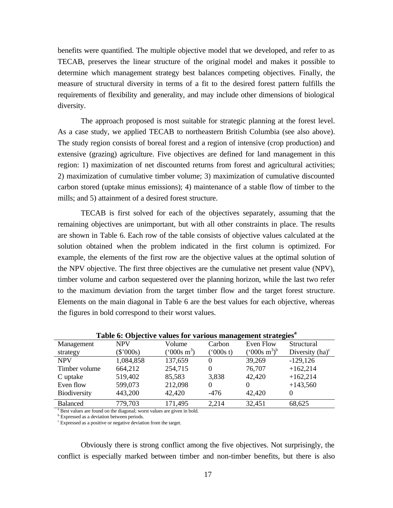benefits were quantified. The multiple objective model that we developed, and refer to as TECAB, preserves the linear structure of the original model and makes it possible to determine which management strategy best balances competing objectives. Finally, the measure of structural diversity in terms of a fit to the desired forest pattern fulfills the requirements of flexibility and generality, and may include other dimensions of biological diversity.

The approach proposed is most suitable for strategic planning at the forest level. As a case study, we applied TECAB to northeastern British Columbia (see also above). The study region consists of boreal forest and a region of intensive (crop production) and extensive (grazing) agriculture. Five objectives are defined for land management in this region: 1) maximization of net discounted returns from forest and agricultural activities; 2) maximization of cumulative timber volume; 3) maximization of cumulative discounted carbon stored (uptake minus emissions); 4) maintenance of a stable flow of timber to the mills; and 5) attainment of a desired forest structure.

TECAB is first solved for each of the objectives separately, assuming that the remaining objectives are unimportant, but with all other constraints in place. The results are shown in Table 6. Each row of the table consists of objective values calculated at the solution obtained when the problem indicated in the first column is optimized. For example, the elements of the first row are the objective values at the optimal solution of the NPV objective. The first three objectives are the cumulative net present value (NPV), timber volume and carbon sequestered over the planning horizon, while the last two refer to the maximum deviation from the target timber flow and the target forest structure. Elements on the main diagonal in Table 6 are the best values for each objective, whereas the figures in bold correspond to their worst values.

|                     |             | Tuble of Objective values for various management strutegies |          |                            |                    |
|---------------------|-------------|-------------------------------------------------------------|----------|----------------------------|--------------------|
| Management          | NPV         | Volume                                                      | Carbon   | Even Flow                  | Structural         |
| strategy            | $(\$'000s)$ | $(^{\circ}000s \; \mathrm{m}^3)$                            | (000s t) | $(^{6}000s \text{ m}^3)^b$ | Diversity $(ha)^c$ |
| <b>NPV</b>          | 1,084,858   | 137,659                                                     | $\theta$ | 39,269                     | $-129,126$         |
| Timber volume       | 664,212     | 254,715                                                     |          | 76,707                     | $+162,214$         |
| C uptake            | 519,402     | 85,583                                                      | 3,838    | 42,420                     | $+162,214$         |
| Even flow           | 599,073     | 212,098                                                     | $\Omega$ |                            | $+143,560$         |
| <b>Biodiversity</b> | 443,200     | 42,420                                                      | $-476$   | 42,420                     |                    |
| <b>Balanced</b>     | 779,703     | 171,495                                                     | 2,214    | 32,451                     | 68,625             |
|                     |             |                                                             |          |                            |                    |

**Table 6: Objective values for various management strategies<sup>a</sup>**

<sup>a</sup> Best values are found on the diagonal; worst values are given in bold.

**b** Expressed as a deviation between periods.

c Expressed as a positive or negative deviation from the target.

Obviously there is strong conflict among the five objectives. Not surprisingly, the conflict is especially marked between timber and non-timber benefits, but there is also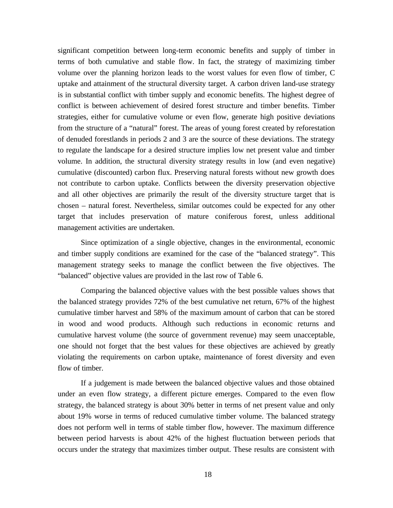significant competition between long-term economic benefits and supply of timber in terms of both cumulative and stable flow. In fact, the strategy of maximizing timber volume over the planning horizon leads to the worst values for even flow of timber, C uptake and attainment of the structural diversity target. A carbon driven land-use strategy is in substantial conflict with timber supply and economic benefits. The highest degree of conflict is between achievement of desired forest structure and timber benefits. Timber strategies, either for cumulative volume or even flow, generate high positive deviations from the structure of a "natural" forest. The areas of young forest created by reforestation of denuded forestlands in periods 2 and 3 are the source of these deviations. The strategy to regulate the landscape for a desired structure implies low net present value and timber volume. In addition, the structural diversity strategy results in low (and even negative) cumulative (discounted) carbon flux. Preserving natural forests without new growth does not contribute to carbon uptake. Conflicts between the diversity preservation objective and all other objectives are primarily the result of the diversity structure target that is chosen – natural forest. Nevertheless, similar outcomes could be expected for any other target that includes preservation of mature coniferous forest, unless additional management activities are undertaken.

Since optimization of a single objective, changes in the environmental, economic and timber supply conditions are examined for the case of the "balanced strategy". This management strategy seeks to manage the conflict between the five objectives. The "balanced" objective values are provided in the last row of Table 6.

Comparing the balanced objective values with the best possible values shows that the balanced strategy provides 72% of the best cumulative net return, 67% of the highest cumulative timber harvest and 58% of the maximum amount of carbon that can be stored in wood and wood products. Although such reductions in economic returns and cumulative harvest volume (the source of government revenue) may seem unacceptable, one should not forget that the best values for these objectives are achieved by greatly violating the requirements on carbon uptake, maintenance of forest diversity and even flow of timber.

If a judgement is made between the balanced objective values and those obtained under an even flow strategy, a different picture emerges. Compared to the even flow strategy, the balanced strategy is about 30% better in terms of net present value and only about 19% worse in terms of reduced cumulative timber volume. The balanced strategy does not perform well in terms of stable timber flow, however. The maximum difference between period harvests is about 42% of the highest fluctuation between periods that occurs under the strategy that maximizes timber output. These results are consistent with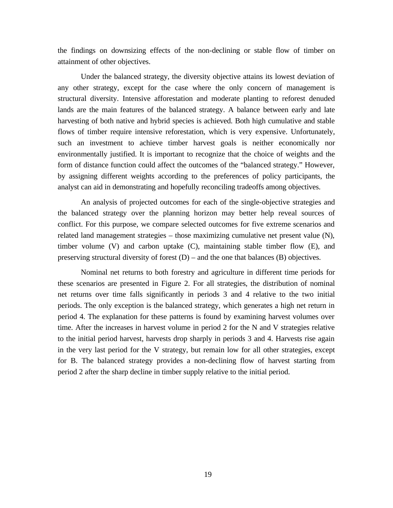the findings on downsizing effects of the non-declining or stable flow of timber on attainment of other objectives.

Under the balanced strategy, the diversity objective attains its lowest deviation of any other strategy, except for the case where the only concern of management is structural diversity. Intensive afforestation and moderate planting to reforest denuded lands are the main features of the balanced strategy. A balance between early and late harvesting of both native and hybrid species is achieved. Both high cumulative and stable flows of timber require intensive reforestation, which is very expensive. Unfortunately, such an investment to achieve timber harvest goals is neither economically nor environmentally justified. It is important to recognize that the choice of weights and the form of distance function could affect the outcomes of the "balanced strategy." However, by assigning different weights according to the preferences of policy participants, the analyst can aid in demonstrating and hopefully reconciling tradeoffs among objectives.

An analysis of projected outcomes for each of the single-objective strategies and the balanced strategy over the planning horizon may better help reveal sources of conflict. For this purpose, we compare selected outcomes for five extreme scenarios and related land management strategies – those maximizing cumulative net present value (N), timber volume (V) and carbon uptake (C), maintaining stable timber flow (E), and preserving structural diversity of forest  $(D)$  – and the one that balances  $(B)$  objectives.

Nominal net returns to both forestry and agriculture in different time periods for these scenarios are presented in Figure 2. For all strategies, the distribution of nominal net returns over time falls significantly in periods 3 and 4 relative to the two initial periods. The only exception is the balanced strategy, which generates a high net return in period 4. The explanation for these patterns is found by examining harvest volumes over time. After the increases in harvest volume in period 2 for the N and V strategies relative to the initial period harvest, harvests drop sharply in periods 3 and 4. Harvests rise again in the very last period for the V strategy, but remain low for all other strategies, except for B. The balanced strategy provides a non-declining flow of harvest starting from period 2 after the sharp decline in timber supply relative to the initial period.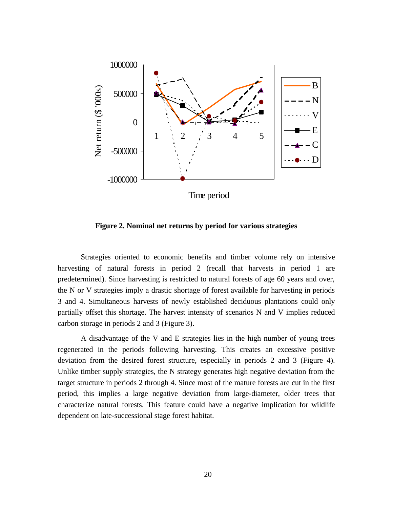

**Figure 2. Nominal net returns by period for various strategies**

Strategies oriented to economic benefits and timber volume rely on intensive harvesting of natural forests in period 2 (recall that harvests in period 1 are predetermined). Since harvesting is restricted to natural forests of age 60 years and over, the N or V strategies imply a drastic shortage of forest available for harvesting in periods 3 and 4. Simultaneous harvests of newly established deciduous plantations could only partially offset this shortage. The harvest intensity of scenarios N and V implies reduced carbon storage in periods 2 and 3 (Figure 3).

A disadvantage of the V and E strategies lies in the high number of young trees regenerated in the periods following harvesting. This creates an excessive positive deviation from the desired forest structure, especially in periods 2 and 3 (Figure 4). Unlike timber supply strategies, the N strategy generates high negative deviation from the target structure in periods 2 through 4. Since most of the mature forests are cut in the first period, this implies a large negative deviation from large-diameter, older trees that characterize natural forests. This feature could have a negative implication for wildlife dependent on late-successional stage forest habitat.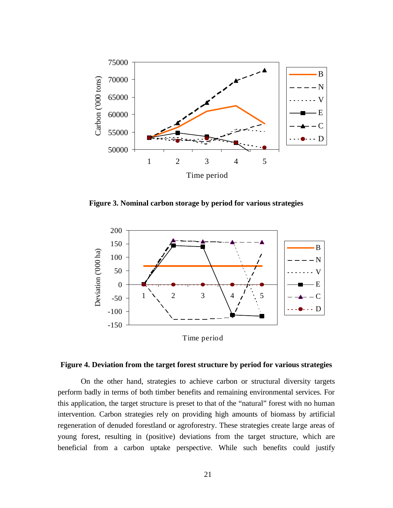

**Figure 3. Nominal carbon storage by period for various strategies**



#### **Figure 4. Deviation from the target forest structure by period for various strategies**

On the other hand, strategies to achieve carbon or structural diversity targets perform badly in terms of both timber benefits and remaining environmental services. For this application, the target structure is preset to that of the "natural" forest with no human intervention. Carbon strategies rely on providing high amounts of biomass by artificial regeneration of denuded forestland or agroforestry. These strategies create large areas of young forest, resulting in (positive) deviations from the target structure, which are beneficial from a carbon uptake perspective. While such benefits could justify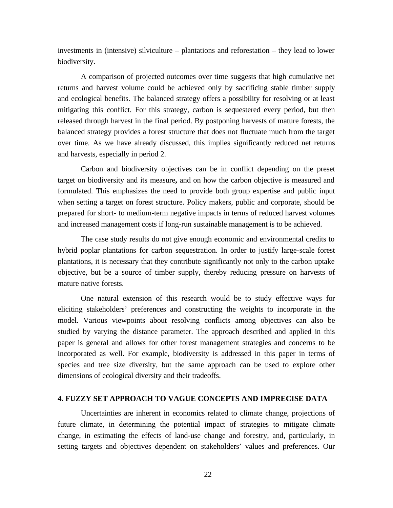investments in (intensive) silviculture – plantations and reforestation – they lead to lower biodiversity.

A comparison of projected outcomes over time suggests that high cumulative net returns and harvest volume could be achieved only by sacrificing stable timber supply and ecological benefits. The balanced strategy offers a possibility for resolving or at least mitigating this conflict. For this strategy, carbon is sequestered every period, but then released through harvest in the final period. By postponing harvests of mature forests, the balanced strategy provides a forest structure that does not fluctuate much from the target over time. As we have already discussed, this implies significantly reduced net returns and harvests, especially in period 2.

Carbon and biodiversity objectives can be in conflict depending on the preset target on biodiversity and its measure**,** and on how the carbon objective is measured and formulated. This emphasizes the need to provide both group expertise and public input when setting a target on forest structure. Policy makers, public and corporate, should be prepared for short- to medium-term negative impacts in terms of reduced harvest volumes and increased management costs if long-run sustainable management is to be achieved.

The case study results do not give enough economic and environmental credits to hybrid poplar plantations for carbon sequestration. In order to justify large-scale forest plantations, it is necessary that they contribute significantly not only to the carbon uptake objective, but be a source of timber supply, thereby reducing pressure on harvests of mature native forests.

One natural extension of this research would be to study effective ways for eliciting stakeholders' preferences and constructing the weights to incorporate in the model. Various viewpoints about resolving conflicts among objectives can also be studied by varying the distance parameter. The approach described and applied in this paper is general and allows for other forest management strategies and concerns to be incorporated as well. For example, biodiversity is addressed in this paper in terms of species and tree size diversity, but the same approach can be used to explore other dimensions of ecological diversity and their tradeoffs.

#### **4. FUZZY SET APPROACH TO VAGUE CONCEPTS AND IMPRECISE DATA**

Uncertainties are inherent in economics related to climate change, projections of future climate, in determining the potential impact of strategies to mitigate climate change, in estimating the effects of land-use change and forestry, and, particularly, in setting targets and objectives dependent on stakeholders' values and preferences. Our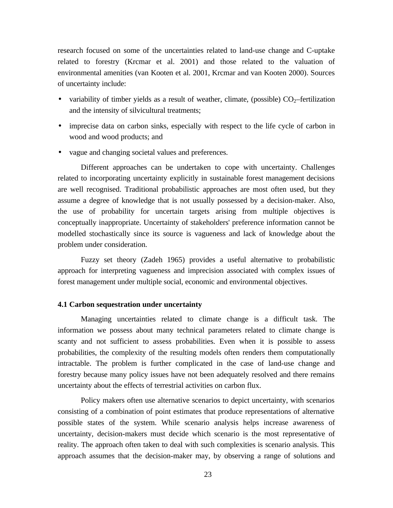research focused on some of the uncertainties related to land-use change and C-uptake related to forestry (Krcmar et al. 2001) and those related to the valuation of environmental amenities (van Kooten et al. 2001, Krcmar and van Kooten 2000). Sources of uncertainty include:

- variability of timber yields as a result of weather, climate, (possible)  $CO_2$ –fertilization and the intensity of silvicultural treatments;
- imprecise data on carbon sinks, especially with respect to the life cycle of carbon in wood and wood products; and
- vague and changing societal values and preferences.

Different approaches can be undertaken to cope with uncertainty. Challenges related to incorporating uncertainty explicitly in sustainable forest management decisions are well recognised. Traditional probabilistic approaches are most often used, but they assume a degree of knowledge that is not usually possessed by a decision-maker. Also, the use of probability for uncertain targets arising from multiple objectives is conceptually inappropriate. Uncertainty of stakeholders' preference information cannot be modelled stochastically since its source is vagueness and lack of knowledge about the problem under consideration.

Fuzzy set theory (Zadeh 1965) provides a useful alternative to probabilistic approach for interpreting vagueness and imprecision associated with complex issues of forest management under multiple social, economic and environmental objectives.

#### **4.1 Carbon sequestration under uncertainty**

Managing uncertainties related to climate change is a difficult task. The information we possess about many technical parameters related to climate change is scanty and not sufficient to assess probabilities. Even when it is possible to assess probabilities, the complexity of the resulting models often renders them computationally intractable. The problem is further complicated in the case of land-use change and forestry because many policy issues have not been adequately resolved and there remains uncertainty about the effects of terrestrial activities on carbon flux.

Policy makers often use alternative scenarios to depict uncertainty, with scenarios consisting of a combination of point estimates that produce representations of alternative possible states of the system. While scenario analysis helps increase awareness of uncertainty, decision-makers must decide which scenario is the most representative of reality. The approach often taken to deal with such complexities is scenario analysis. This approach assumes that the decision-maker may, by observing a range of solutions and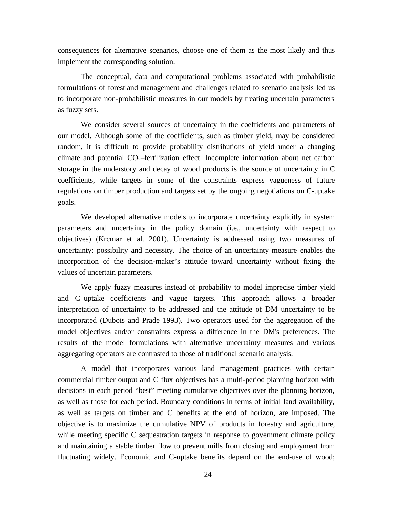consequences for alternative scenarios, choose one of them as the most likely and thus implement the corresponding solution.

The conceptual, data and computational problems associated with probabilistic formulations of forestland management and challenges related to scenario analysis led us to incorporate non-probabilistic measures in our models by treating uncertain parameters as fuzzy sets.

We consider several sources of uncertainty in the coefficients and parameters of our model. Although some of the coefficients, such as timber yield, may be considered random, it is difficult to provide probability distributions of yield under a changing climate and potential  $CO<sub>2</sub>$ -fertilization effect. Incomplete information about net carbon storage in the understory and decay of wood products is the source of uncertainty in C coefficients, while targets in some of the constraints express vagueness of future regulations on timber production and targets set by the ongoing negotiations on C-uptake goals.

We developed alternative models to incorporate uncertainty explicitly in system parameters and uncertainty in the policy domain (i.e., uncertainty with respect to objectives) (Krcmar et al. 2001). Uncertainty is addressed using two measures of uncertainty: possibility and necessity. The choice of an uncertainty measure enables the incorporation of the decision-maker's attitude toward uncertainty without fixing the values of uncertain parameters.

We apply fuzzy measures instead of probability to model imprecise timber yield and C–uptake coefficients and vague targets. This approach allows a broader interpretation of uncertainty to be addressed and the attitude of DM uncertainty to be incorporated (Dubois and Prade 1993). Two operators used for the aggregation of the model objectives and/or constraints express a difference in the DM's preferences. The results of the model formulations with alternative uncertainty measures and various aggregating operators are contrasted to those of traditional scenario analysis.

A model that incorporates various land management practices with certain commercial timber output and C flux objectives has a multi-period planning horizon with decisions in each period "best" meeting cumulative objectives over the planning horizon, as well as those for each period. Boundary conditions in terms of initial land availability, as well as targets on timber and C benefits at the end of horizon, are imposed. The objective is to maximize the cumulative NPV of products in forestry and agriculture, while meeting specific C sequestration targets in response to government climate policy and maintaining a stable timber flow to prevent mills from closing and employment from fluctuating widely. Economic and C-uptake benefits depend on the end-use of wood;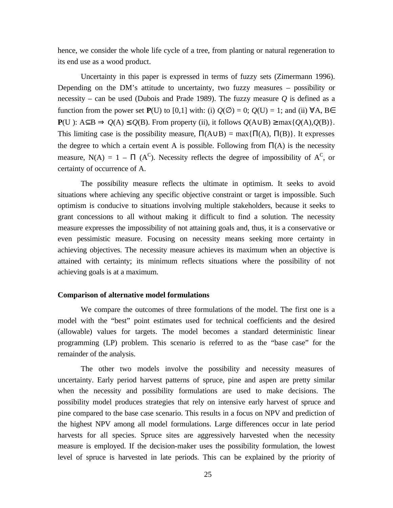hence, we consider the whole life cycle of a tree, from planting or natural regeneration to its end use as a wood product.

Uncertainty in this paper is expressed in terms of fuzzy sets (Zimermann 1996). Depending on the DM's attitude to uncertainty, two fuzzy measures – possibility or necessity – can be used (Dubois and Prade 1989). The fuzzy measure  $Q$  is defined as a function from the power set  $P(U)$  to [0,1] with: (i)  $Q(\emptyset) = 0$ ;  $Q(U) = 1$ ; and (ii)  $\forall A, B \in$ **P**(U): A⊆B  $\Rightarrow$  *Q*(A) ≤ *Q*(B). From property (ii), it follows *Q*(A∪B) ≥ max{*Q*(A),*Q*(B)}. This limiting case is the possibility measure,  $\Pi(A \cup B) = \max{\{\Pi(A), \Pi(B)\}\}\$ . It expresses the degree to which a certain event A is possible. Following from  $\Pi(A)$  is the necessity measure, N(A) = 1 –  $\Pi$  (A<sup>C</sup>). Necessity reflects the degree of impossibility of A<sup>C</sup>, or certainty of occurrence of A.

The possibility measure reflects the ultimate in optimism. It seeks to avoid situations where achieving any specific objective constraint or target is impossible. Such optimism is conducive to situations involving multiple stakeholders, because it seeks to grant concessions to all without making it difficult to find a solution. The necessity measure expresses the impossibility of not attaining goals and, thus, it is a conservative or even pessimistic measure. Focusing on necessity means seeking more certainty in achieving objectives. The necessity measure achieves its maximum when an objective is attained with certainty; its minimum reflects situations where the possibility of not achieving goals is at a maximum.

#### **Comparison of alternative model formulations**

We compare the outcomes of three formulations of the model. The first one is a model with the "best" point estimates used for technical coefficients and the desired (allowable) values for targets. The model becomes a standard deterministic linear programming (LP) problem. This scenario is referred to as the "base case" for the remainder of the analysis.

The other two models involve the possibility and necessity measures of uncertainty. Early period harvest patterns of spruce, pine and aspen are pretty similar when the necessity and possibility formulations are used to make decisions. The possibility model produces strategies that rely on intensive early harvest of spruce and pine compared to the base case scenario. This results in a focus on NPV and prediction of the highest NPV among all model formulations. Large differences occur in late period harvests for all species. Spruce sites are aggressively harvested when the necessity measure is employed. If the decision-maker uses the possibility formulation, the lowest level of spruce is harvested in late periods. This can be explained by the priority of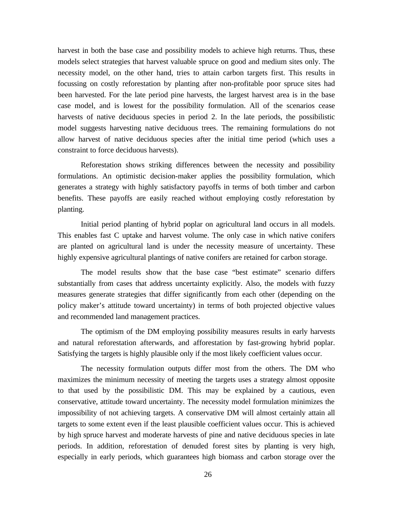harvest in both the base case and possibility models to achieve high returns. Thus, these models select strategies that harvest valuable spruce on good and medium sites only. The necessity model, on the other hand, tries to attain carbon targets first. This results in focussing on costly reforestation by planting after non-profitable poor spruce sites had been harvested. For the late period pine harvests, the largest harvest area is in the base case model, and is lowest for the possibility formulation. All of the scenarios cease harvests of native deciduous species in period 2. In the late periods, the possibilistic model suggests harvesting native deciduous trees. The remaining formulations do not allow harvest of native deciduous species after the initial time period (which uses a constraint to force deciduous harvests).

Reforestation shows striking differences between the necessity and possibility formulations. An optimistic decision-maker applies the possibility formulation, which generates a strategy with highly satisfactory payoffs in terms of both timber and carbon benefits. These payoffs are easily reached without employing costly reforestation by planting.

Initial period planting of hybrid poplar on agricultural land occurs in all models. This enables fast C uptake and harvest volume. The only case in which native conifers are planted on agricultural land is under the necessity measure of uncertainty. These highly expensive agricultural plantings of native conifers are retained for carbon storage.

The model results show that the base case "best estimate" scenario differs substantially from cases that address uncertainty explicitly. Also, the models with fuzzy measures generate strategies that differ significantly from each other (depending on the policy maker's attitude toward uncertainty) in terms of both projected objective values and recommended land management practices.

The optimism of the DM employing possibility measures results in early harvests and natural reforestation afterwards, and afforestation by fast-growing hybrid poplar. Satisfying the targets is highly plausible only if the most likely coefficient values occur.

The necessity formulation outputs differ most from the others. The DM who maximizes the minimum necessity of meeting the targets uses a strategy almost opposite to that used by the possibilistic DM. This may be explained by a cautious, even conservative, attitude toward uncertainty. The necessity model formulation minimizes the impossibility of not achieving targets. A conservative DM will almost certainly attain all targets to some extent even if the least plausible coefficient values occur. This is achieved by high spruce harvest and moderate harvests of pine and native deciduous species in late periods. In addition, reforestation of denuded forest sites by planting is very high, especially in early periods, which guarantees high biomass and carbon storage over the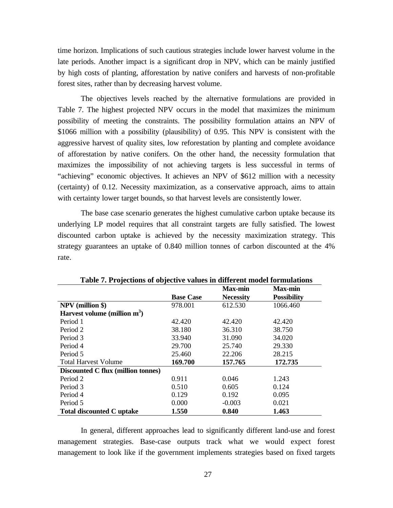time horizon. Implications of such cautious strategies include lower harvest volume in the late periods. Another impact is a significant drop in NPV, which can be mainly justified by high costs of planting, afforestation by native conifers and harvests of non-profitable forest sites, rather than by decreasing harvest volume.

The objectives levels reached by the alternative formulations are provided in Table 7. The highest projected NPV occurs in the model that maximizes the minimum possibility of meeting the constraints. The possibility formulation attains an NPV of \$1066 million with a possibility (plausibility) of 0.95. This NPV is consistent with the aggressive harvest of quality sites, low reforestation by planting and complete avoidance of afforestation by native conifers. On the other hand, the necessity formulation that maximizes the impossibility of not achieving targets is less successful in terms of "achieving" economic objectives. It achieves an NPV of \$612 million with a necessity (certainty) of 0.12. Necessity maximization, as a conservative approach, aims to attain with certainty lower target bounds, so that harvest levels are consistently lower.

The base case scenario generates the highest cumulative carbon uptake because its underlying LP model requires that all constraint targets are fully satisfied. The lowest discounted carbon uptake is achieved by the necessity maximization strategy. This strategy guarantees an uptake of 0.840 million tonnes of carbon discounted at the 4% rate.

|                                    |                  | <b>Max-min</b>   | <b>Max-min</b>     |
|------------------------------------|------------------|------------------|--------------------|
|                                    | <b>Base Case</b> | <b>Necessity</b> | <b>Possibility</b> |
| <b>NPV</b> (million \$)            | 978.001          | 612.530          | 1066.460           |
| Harvest volume (million $m^3$ )    |                  |                  |                    |
| Period 1                           | 42.420           | 42.420           | 42.420             |
| Period 2                           | 38.180           | 36.310           | 38.750             |
| Period 3                           | 33.940           | 31.090           | 34.020             |
| Period 4                           | 29.700           | 25.740           | 29.330             |
| Period 5                           | 25.460           | 22.206           | 28.215             |
| <b>Total Harvest Volume</b>        | 169.700          | 157.765          | 172.735            |
| Discounted C flux (million tonnes) |                  |                  |                    |
| Period 2                           | 0.911            | 0.046            | 1.243              |
| Period 3                           | 0.510            | 0.605            | 0.124              |
| Period 4                           | 0.129            | 0.192            | 0.095              |
| Period 5                           | 0.000            | $-0.003$         | 0.021              |
| <b>Total discounted C uptake</b>   | 1.550            | 0.840            | 1.463              |

**Table 7. Projections of objective values in different model formulations**

In general, different approaches lead to significantly different land-use and forest management strategies. Base-case outputs track what we would expect forest management to look like if the government implements strategies based on fixed targets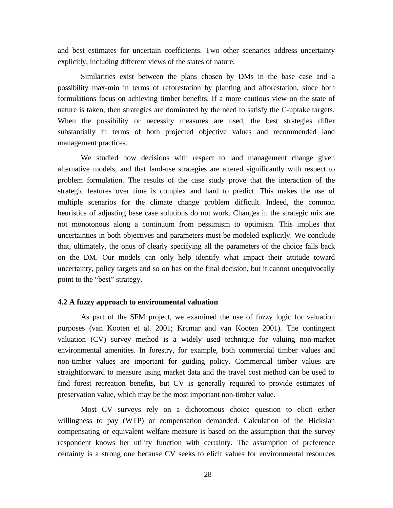and best estimates for uncertain coefficients. Two other scenarios address uncertainty explicitly, including different views of the states of nature.

Similarities exist between the plans chosen by DMs in the base case and a possibility max-min in terms of reforestation by planting and afforestation, since both formulations focus on achieving timber benefits. If a more cautious view on the state of nature is taken, then strategies are dominated by the need to satisfy the C-uptake targets. When the possibility or necessity measures are used, the best strategies differ substantially in terms of both projected objective values and recommended land management practices.

We studied how decisions with respect to land management change given alternative models, and that land-use strategies are altered significantly with respect to problem formulation. The results of the case study prove that the interaction of the strategic features over time is complex and hard to predict. This makes the use of multiple scenarios for the climate change problem difficult. Indeed, the common heuristics of adjusting base case solutions do not work. Changes in the strategic mix are not monotonous along a continuum from pessimism to optimism. This implies that uncertainties in both objectives and parameters must be modeled explicitly. We conclude that, ultimately, the onus of clearly specifying all the parameters of the choice falls back on the DM. Our models can only help identify what impact their attitude toward uncertainty, policy targets and so on has on the final decision, but it cannot unequivocally point to the "best" strategy.

#### **4.2 A fuzzy approach to environmental valuation**

As part of the SFM project, we examined the use of fuzzy logic for valuation purposes (van Kooten et al. 2001; Krcmar and van Kooten 2001). The contingent valuation (CV) survey method is a widely used technique for valuing non-market environmental amenities. In forestry, for example, both commercial timber values and non-timber values are important for guiding policy. Commercial timber values are straightforward to measure using market data and the travel cost method can be used to find forest recreation benefits, but CV is generally required to provide estimates of preservation value, which may be the most important non-timber value.

Most CV surveys rely on a dichotomous choice question to elicit either willingness to pay (WTP) or compensation demanded. Calculation of the Hicksian compensating or equivalent welfare measure is based on the assumption that the survey respondent knows her utility function with certainty. The assumption of preference certainty is a strong one because CV seeks to elicit values for environmental resources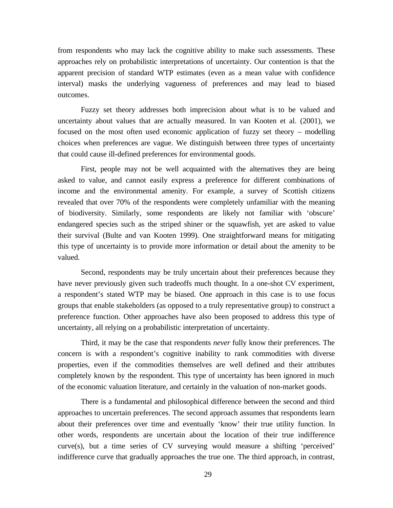from respondents who may lack the cognitive ability to make such assessments. These approaches rely on probabilistic interpretations of uncertainty. Our contention is that the apparent precision of standard WTP estimates (even as a mean value with confidence interval) masks the underlying vagueness of preferences and may lead to biased outcomes.

Fuzzy set theory addresses both imprecision about what is to be valued and uncertainty about values that are actually measured. In van Kooten et al. (2001), we focused on the most often used economic application of fuzzy set theory – modelling choices when preferences are vague. We distinguish between three types of uncertainty that could cause ill-defined preferences for environmental goods.

First, people may not be well acquainted with the alternatives they are being asked to value, and cannot easily express a preference for different combinations of income and the environmental amenity. For example, a survey of Scottish citizens revealed that over 70% of the respondents were completely unfamiliar with the meaning of biodiversity. Similarly, some respondents are likely not familiar with 'obscure' endangered species such as the striped shiner or the squawfish, yet are asked to value their survival (Bulte and van Kooten 1999). One straightforward means for mitigating this type of uncertainty is to provide more information or detail about the amenity to be valued.

Second, respondents may be truly uncertain about their preferences because they have never previously given such tradeoffs much thought. In a one-shot CV experiment, a respondent's stated WTP may be biased. One approach in this case is to use focus groups that enable stakeholders (as opposed to a truly representative group) to construct a preference function. Other approaches have also been proposed to address this type of uncertainty, all relying on a probabilistic interpretation of uncertainty.

Third, it may be the case that respondents *never* fully know their preferences. The concern is with a respondent's cognitive inability to rank commodities with diverse properties, even if the commodities themselves are well defined and their attributes completely known by the respondent. This type of uncertainty has been ignored in much of the economic valuation literature, and certainly in the valuation of non-market goods.

There is a fundamental and philosophical difference between the second and third approaches to uncertain preferences. The second approach assumes that respondents learn about their preferences over time and eventually 'know' their true utility function. In other words, respondents are uncertain about the location of their true indifference curve(s), but a time series of CV surveying would measure a shifting 'perceived' indifference curve that gradually approaches the true one. The third approach, in contrast,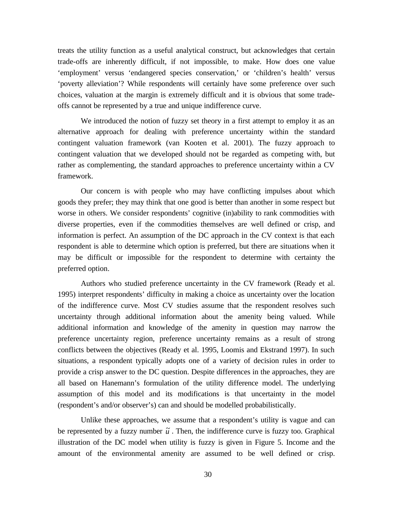treats the utility function as a useful analytical construct, but acknowledges that certain trade-offs are inherently difficult, if not impossible, to make. How does one value 'employment' versus 'endangered species conservation,' or 'children's health' versus 'poverty alleviation'? While respondents will certainly have some preference over such choices, valuation at the margin is extremely difficult and it is obvious that some tradeoffs cannot be represented by a true and unique indifference curve.

We introduced the notion of fuzzy set theory in a first attempt to employ it as an alternative approach for dealing with preference uncertainty within the standard contingent valuation framework (van Kooten et al. 2001). The fuzzy approach to contingent valuation that we developed should not be regarded as competing with, but rather as complementing, the standard approaches to preference uncertainty within a CV framework.

Our concern is with people who may have conflicting impulses about which goods they prefer; they may think that one good is better than another in some respect but worse in others. We consider respondents' cognitive (in)ability to rank commodities with diverse properties, even if the commodities themselves are well defined or crisp, and information is perfect. An assumption of the DC approach in the CV context is that each respondent is able to determine which option is preferred, but there are situations when it may be difficult or impossible for the respondent to determine with certainty the preferred option.

Authors who studied preference uncertainty in the CV framework (Ready et al. 1995) interpret respondents' difficulty in making a choice as uncertainty over the location of the indifference curve. Most CV studies assume that the respondent resolves such uncertainty through additional information about the amenity being valued. While additional information and knowledge of the amenity in question may narrow the preference uncertainty region, preference uncertainty remains as a result of strong conflicts between the objectives (Ready et al. 1995, Loomis and Ekstrand 1997). In such situations, a respondent typically adopts one of a variety of decision rules in order to provide a crisp answer to the DC question. Despite differences in the approaches, they are all based on Hanemann's formulation of the utility difference model. The underlying assumption of this model and its modifications is that uncertainty in the model (respondent's and/or observer's) can and should be modelled probabilistically.

Unlike these approaches, we assume that a respondent's utility is vague and can be represented by a fuzzy number  $\tilde{u}$ . Then, the indifference curve is fuzzy too. Graphical illustration of the DC model when utility is fuzzy is given in Figure 5. Income and the amount of the environmental amenity are assumed to be well defined or crisp.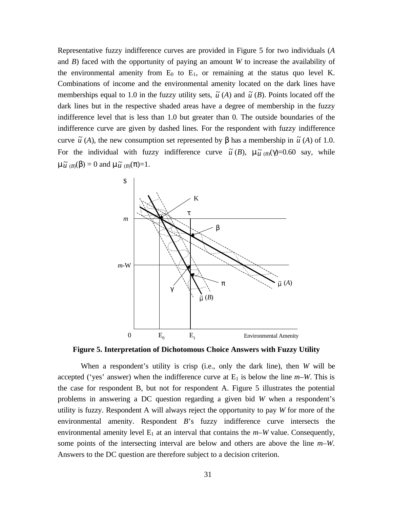Representative fuzzy indifference curves are provided in Figure 5 for two individuals (*A* and *B*) faced with the opportunity of paying an amount *W* to increase the availability of the environmental amenity from  $E_0$  to  $E_1$ , or remaining at the status quo level K. Combinations of income and the environmental amenity located on the dark lines have memberships equal to 1.0 in the fuzzy utility sets,  $\tilde{u}(A)$  and  $\tilde{u}(B)$ . Points located off the dark lines but in the respective shaded areas have a degree of membership in the fuzzy indifference level that is less than 1.0 but greater than 0. The outside boundaries of the indifference curve are given by dashed lines. For the respondent with fuzzy indifference curve  $\tilde{u}$  (*A*), the new consumption set represented by  $\beta$  has a membership in  $\tilde{u}$  (*A*) of 1.0. For the individual with fuzzy indifference curve  $\tilde{u}(B)$ ,  $\mu \tilde{u}(B)(\gamma)=0.60$  say, while  $\mu \tilde{u}$ <sub>(*B*)</sub>( $\beta$ ) = 0 and  $\mu \tilde{u}$ <sub>(*B*)</sub>( $\pi$ )=1.



**Figure 5. Interpretation of Dichotomous Choice Answers with Fuzzy Utility**

When a respondent's utility is crisp (i.e., only the dark line), then *W* will be accepted ('yes' answer) when the indifference curve at  $E_1$  is below the line  $m-W$ . This is the case for respondent B, but not for respondent A. Figure 5 illustrates the potential problems in answering a DC question regarding a given bid *W* when a respondent's utility is fuzzy. Respondent A will always reject the opportunity to pay *W* for more of the environmental amenity. Respondent *B*'s fuzzy indifference curve intersects the environmental amenity level  $E_1$  at an interval that contains the  $m-W$  value. Consequently, some points of the intersecting interval are below and others are above the line *m–W.*  Answers to the DC question are therefore subject to a decision criterion.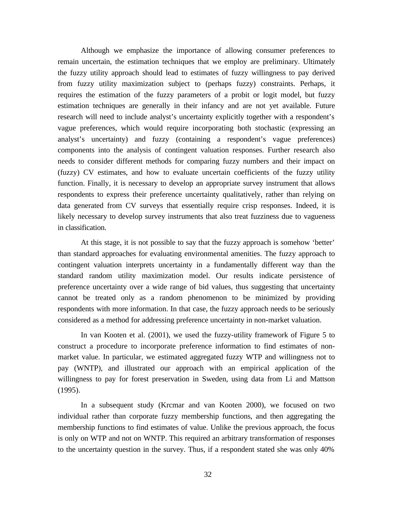Although we emphasize the importance of allowing consumer preferences to remain uncertain, the estimation techniques that we employ are preliminary. Ultimately the fuzzy utility approach should lead to estimates of fuzzy willingness to pay derived from fuzzy utility maximization subject to (perhaps fuzzy) constraints. Perhaps, it requires the estimation of the fuzzy parameters of a probit or logit model, but fuzzy estimation techniques are generally in their infancy and are not yet available. Future research will need to include analyst's uncertainty explicitly together with a respondent's vague preferences, which would require incorporating both stochastic (expressing an analyst's uncertainty) and fuzzy (containing a respondent's vague preferences) components into the analysis of contingent valuation responses. Further research also needs to consider different methods for comparing fuzzy numbers and their impact on (fuzzy) CV estimates, and how to evaluate uncertain coefficients of the fuzzy utility function. Finally, it is necessary to develop an appropriate survey instrument that allows respondents to express their preference uncertainty qualitatively, rather than relying on data generated from CV surveys that essentially require crisp responses. Indeed, it is likely necessary to develop survey instruments that also treat fuzziness due to vagueness in classification.

At this stage, it is not possible to say that the fuzzy approach is somehow 'better' than standard approaches for evaluating environmental amenities. The fuzzy approach to contingent valuation interprets uncertainty in a fundamentally different way than the standard random utility maximization model. Our results indicate persistence of preference uncertainty over a wide range of bid values, thus suggesting that uncertainty cannot be treated only as a random phenomenon to be minimized by providing respondents with more information. In that case, the fuzzy approach needs to be seriously considered as a method for addressing preference uncertainty in non-market valuation.

In van Kooten et al. (2001), we used the fuzzy-utility framework of Figure 5 to construct a procedure to incorporate preference information to find estimates of nonmarket value. In particular, we estimated aggregated fuzzy WTP and willingness not to pay (WNTP), and illustrated our approach with an empirical application of the willingness to pay for forest preservation in Sweden, using data from Li and Mattson (1995).

In a subsequent study (Krcmar and van Kooten 2000), we focused on two individual rather than corporate fuzzy membership functions, and then aggregating the membership functions to find estimates of value. Unlike the previous approach, the focus is only on WTP and not on WNTP. This required an arbitrary transformation of responses to the uncertainty question in the survey. Thus, if a respondent stated she was only 40%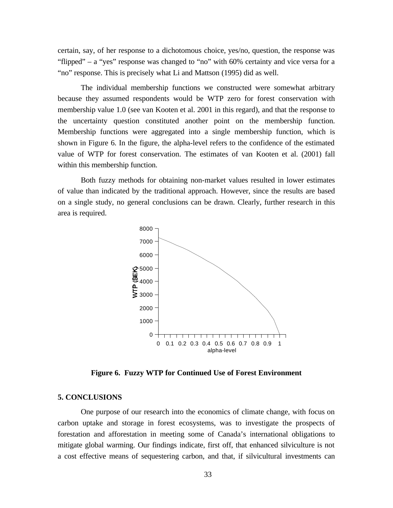certain, say, of her response to a dichotomous choice, yes/no, question, the response was "flipped" – a "yes" response was changed to "no" with 60% certainty and vice versa for a "no" response. This is precisely what Li and Mattson (1995) did as well.

The individual membership functions we constructed were somewhat arbitrary because they assumed respondents would be WTP zero for forest conservation with membership value 1.0 (see van Kooten et al. 2001 in this regard), and that the response to the uncertainty question constituted another point on the membership function. Membership functions were aggregated into a single membership function, which is shown in Figure 6. In the figure, the alpha-level refers to the confidence of the estimated value of WTP for forest conservation. The estimates of van Kooten et al. (2001) fall within this membership function.

Both fuzzy methods for obtaining non-market values resulted in lower estimates of value than indicated by the traditional approach. However, since the results are based on a single study, no general conclusions can be drawn. Clearly, further research in this area is required.



**Figure 6. Fuzzy WTP for Continued Use of Forest Environment**

#### **5. CONCLUSIONS**

One purpose of our research into the economics of climate change, with focus on carbon uptake and storage in forest ecosystems, was to investigate the prospects of forestation and afforestation in meeting some of Canada's international obligations to mitigate global warming. Our findings indicate, first off, that enhanced silviculture is not a cost effective means of sequestering carbon, and that, if silvicultural investments can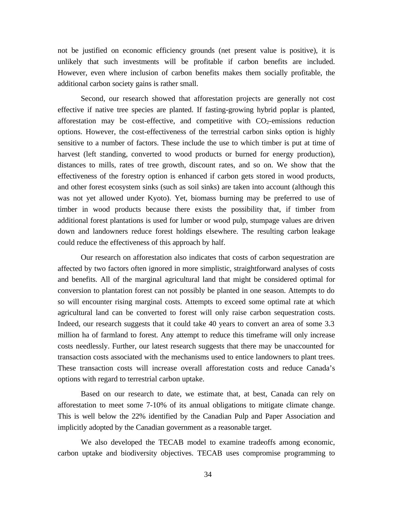not be justified on economic efficiency grounds (net present value is positive), it is unlikely that such investments will be profitable if carbon benefits are included. However, even where inclusion of carbon benefits makes them socially profitable, the additional carbon society gains is rather small.

Second, our research showed that afforestation projects are generally not cost effective if native tree species are planted. If fasting-growing hybrid poplar is planted, afforestation may be cost-effective, and competitive with  $CO<sub>2</sub>$ -emissions reduction options. However, the cost-effectiveness of the terrestrial carbon sinks option is highly sensitive to a number of factors. These include the use to which timber is put at time of harvest (left standing, converted to wood products or burned for energy production), distances to mills, rates of tree growth, discount rates, and so on. We show that the effectiveness of the forestry option is enhanced if carbon gets stored in wood products, and other forest ecosystem sinks (such as soil sinks) are taken into account (although this was not yet allowed under Kyoto). Yet, biomass burning may be preferred to use of timber in wood products because there exists the possibility that, if timber from additional forest plantations is used for lumber or wood pulp, stumpage values are driven down and landowners reduce forest holdings elsewhere. The resulting carbon leakage could reduce the effectiveness of this approach by half.

Our research on afforestation also indicates that costs of carbon sequestration are affected by two factors often ignored in more simplistic, straightforward analyses of costs and benefits. All of the marginal agricultural land that might be considered optimal for conversion to plantation forest can not possibly be planted in one season. Attempts to do so will encounter rising marginal costs. Attempts to exceed some optimal rate at which agricultural land can be converted to forest will only raise carbon sequestration costs. Indeed, our research suggests that it could take 40 years to convert an area of some 3.3 million ha of farmland to forest. Any attempt to reduce this timeframe will only increase costs needlessly. Further, our latest research suggests that there may be unaccounted for transaction costs associated with the mechanisms used to entice landowners to plant trees. These transaction costs will increase overall afforestation costs and reduce Canada's options with regard to terrestrial carbon uptake.

Based on our research to date, we estimate that, at best, Canada can rely on afforestation to meet some 7-10% of its annual obligations to mitigate climate change. This is well below the 22% identified by the Canadian Pulp and Paper Association and implicitly adopted by the Canadian government as a reasonable target.

We also developed the TECAB model to examine tradeoffs among economic, carbon uptake and biodiversity objectives. TECAB uses compromise programming to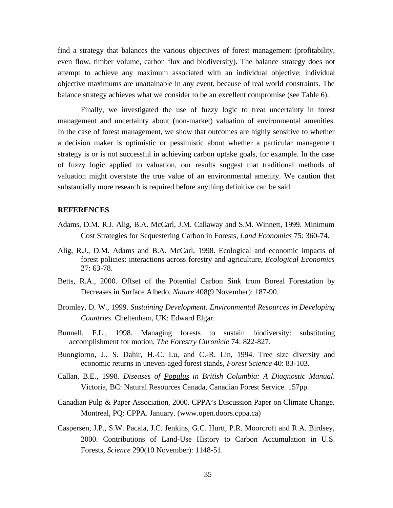find a strategy that balances the various objectives of forest management (profitability, even flow, timber volume, carbon flux and biodiversity). The balance strategy does not attempt to achieve any maximum associated with an individual objective; individual objective maximums are unattainable in any event, because of real world constraints. The balance strategy achieves what we consider to be an excellent compromise (see Table 6).

Finally, we investigated the use of fuzzy logic to treat uncertainty in forest management and uncertainty about (non-market) valuation of environmental amenities. In the case of forest management, we show that outcomes are highly sensitive to whether a decision maker is optimistic or pessimistic about whether a particular management strategy is or is not successful in achieving carbon uptake goals, for example. In the case of fuzzy logic applied to valuation, our results suggest that traditional methods of valuation might overstate the true value of an environmental amenity. We caution that substantially more research is required before anything definitive can be said.

#### **REFERENCES**

- Adams, D.M. R.J. Alig, B.A. McCarl, J.M. Callaway and S.M. Winnett, 1999. Minimum Cost Strategies for Sequestering Carbon in Forests, *Land Economics* 75: 360-74.
- Alig, R.J., D.M. Adams and B.A. McCarl, 1998. Ecological and economic impacts of forest policies: interactions across forestry and agriculture, *Ecological Economics*  27: 63-78.
- Betts, R.A., 2000. Offset of the Potential Carbon Sink from Boreal Forestation by Decreases in Surface Albedo, *Nature* 408(9 November): 187-90.
- Bromley, D. W., 1999. *Sustaining Development. Environmental Resources in Developing Countries*. Cheltenham, UK: Edward Elgar.
- Bunnell, F.L., 1998. Managing forests to sustain biodiversity: substituting accomplishment for motion, *The Forestry Chronicle* 74: 822-827.
- Buongiorno, J., S. Dahir, H.-C. Lu, and C.-R. Lin, 1994. Tree size diversity and economic returns in uneven-aged forest stands, *Forest Science* 40: 83-103.
- Callan, B.E., 1998. *Diseases of Populus in British Columbia: A Diagnostic Manual*. Victoria, BC: Natural Resources Canada, Canadian Forest Service. 157pp.
- Canadian Pulp & Paper Association, 2000. CPPA's Discussion Paper on Climate Change. Montreal, PQ: CPPA. January. (www.open.doors.cppa.ca)
- Caspersen, J.P., S.W. Pacala, J.C. Jenkins, G.C. Hurtt, P.R. Moorcroft and R.A. Birdsey, 2000. Contributions of Land-Use History to Carbon Accumulation in U.S. Forests, *Science* 290(10 November): 1148-51.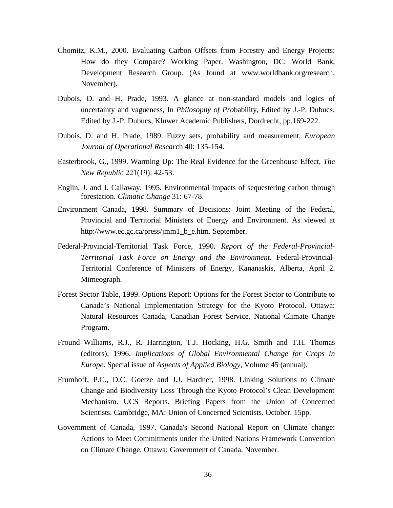- Chomitz, K.M., 2000. Evaluating Carbon Offsets from Forestry and Energy Projects: How do they Compare? Working Paper. Washington, DC: World Bank, Development Research Group. (As found at www.worldbank.org/research, November).
- Dubois, D. and H. Prade, 1993. A glance at non-standard models and logics of uncertainty and vagueness, In *Philosophy of Pro*bability, Edited by J.-P. Dubucs. Edited by J.-P. Dubucs, Kluwer Academic Publishers, Dordrecht, pp.169-222.
- Dubois, D. and H. Prade, 1989. Fuzzy sets, probability and measurement*, European Journal of Operational Researc*h 40: 135-154.
- Easterbrook, G., 1999. Warming Up: The Real Evidence for the Greenhouse Effect, *The New Republic* 221(19): 42-53.
- Englin, J. and J. Callaway, 1995. Environmental impacts of sequestering carbon through forestation. *Climatic Change* 31: 67-78.
- Environment Canada, 1998. Summary of Decisions: Joint Meeting of the Federal, Provincial and Territorial Ministers of Energy and Environment. As viewed at http://www.ec.gc.ca/press/jmm1\_b\_e.htm. September.
- Federal-Provincial-Territorial Task Force, 1990. *Report of the Federal-Provincial-Territorial Task Force on Energy and the Environment*. Federal-Provincial-Territorial Conference of Ministers of Energy, Kananaskis, Alberta, April 2. Mimeograph.
- Forest Sector Table, 1999. Options Report: Options for the Forest Sector to Contribute to Canada's National Implementation Strategy for the Kyoto Protocol. Ottawa: Natural Resources Canada, Canadian Forest Service, National Climate Change Program.
- Fround–Williams, R.J., R. Harrington, T.J. Hocking, H.G. Smith and T.H. Thomas (editors), 1996. *Implications of Global Environmental Change for Crops in Europe*. Special issue of *Aspects of Applied Biology*, Volume 45 (annual).
- Frumhoff, P.C., D.C. Goetze and J.J. Hardner, 1998. Linking Solutions to Climate Change and Biodiversity Loss Through the Kyoto Protocol's Clean Development Mechanism. UCS Reports. Briefing Papers from the Union of Concerned Scientists. Cambridge, MA: Union of Concerned Scientists. October. 15pp.
- Government of Canada, 1997. Canada's Second National Report on Climate change: Actions to Meet Commitments under the United Nations Framework Convention on Climate Change. Ottawa: Government of Canada. November.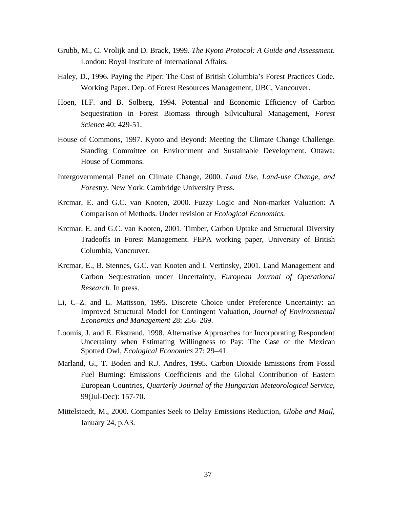- Grubb, M., C. Vrolijk and D. Brack, 1999. *The Kyoto Protocol: A Guide and Assessment*. London: Royal Institute of International Affairs.
- Haley, D., 1996. Paying the Piper: The Cost of British Columbia's Forest Practices Code. Working Paper. Dep. of Forest Resources Management, UBC, Vancouver.
- Hoen, H.F. and B. Solberg, 1994. Potential and Economic Efficiency of Carbon Sequestration in Forest Biomass through Silvicultural Management, *Forest Science* 40: 429-51.
- House of Commons, 1997. Kyoto and Beyond: Meeting the Climate Change Challenge. Standing Committee on Environment and Sustainable Development. Ottawa: House of Commons.
- Intergovernmental Panel on Climate Change, 2000. *Land Use, Land-use Change, and Forestry*. New York: Cambridge University Press.
- Krcmar, E. and G.C. van Kooten, 2000. Fuzzy Logic and Non-market Valuation: A Comparison of Methods. Under revision at *Ecological Economics.*
- Krcmar, E. and G.C. van Kooten, 2001. Timber, Carbon Uptake and Structural Diversity Tradeoffs in Forest Management. FEPA working paper, University of British Columbia, Vancouver.
- Krcmar, E., B. Stennes, G.C. van Kooten and I. Vertinsky, 2001. Land Management and Carbon Sequestration under Uncertainty, *European Journal of Operational Research.* In press.
- Li, C–Z. and L. Mattsson, 1995. Discrete Choice under Preference Uncertainty: an Improved Structural Model for Contingent Valuation, *Journal of Environmental Economics and Management* 28: 256–269.
- Loomis, J. and E. Ekstrand, 1998. Alternative Approaches for Incorporating Respondent Uncertainty when Estimating Willingness to Pay: The Case of the Mexican Spotted Owl, *Ecological Economics* 27: 29–41.
- Marland, G., T. Boden and R.J. Andres, 1995. Carbon Dioxide Emissions from Fossil Fuel Burning: Emissions Coefficients and the Global Contribution of Eastern European Countries, *Quarterly Journal of the Hungarian Meteorological Service*, 99(Jul-Dec): 157-70.
- Mittelstaedt, M., 2000. Companies Seek to Delay Emissions Reduction, *Globe and Mail*, January 24, p.A3.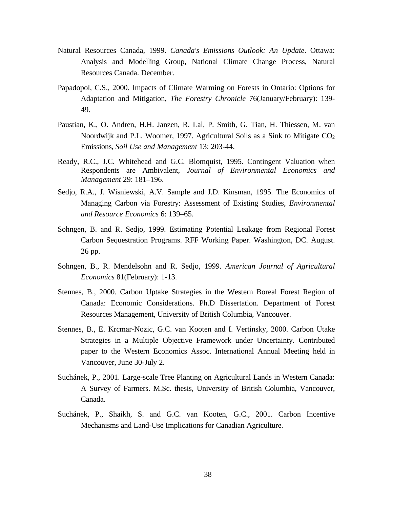- Natural Resources Canada, 1999. *Canada's Emissions Outlook: An Update*. Ottawa: Analysis and Modelling Group, National Climate Change Process, Natural Resources Canada. December.
- Papadopol, C.S., 2000. Impacts of Climate Warming on Forests in Ontario: Options for Adaptation and Mitigation, *The Forestry Chronicle* 76(January/February): 139- 49.
- Paustian, K., O. Andren, H.H. Janzen, R. Lal, P. Smith, G. Tian, H. Thiessen, M. van Noordwijk and P.L. Woomer, 1997. Agricultural Soils as a Sink to Mitigate  $CO<sub>2</sub>$ Emissions, *Soil Use and Management* 13: 203-44.
- Ready, R.C., J.C. Whitehead and G.C. Blomquist, 1995. Contingent Valuation when Respondents are Ambivalent, *Journal of Environmental Economics and Management* 29: 181–196.
- Sedjo, R.A., J. Wisniewski, A.V. Sample and J.D. Kinsman, 1995. The Economics of Managing Carbon via Forestry: Assessment of Existing Studies, *Environmental and Resource Economics* 6: 139–65.
- Sohngen, B. and R. Sedjo, 1999. Estimating Potential Leakage from Regional Forest Carbon Sequestration Programs. RFF Working Paper. Washington, DC. August. 26 pp.
- Sohngen, B., R. Mendelsohn and R. Sedjo, 1999. *American Journal of Agricultural Economics* 81(February): 1-13.
- Stennes, B., 2000. Carbon Uptake Strategies in the Western Boreal Forest Region of Canada: Economic Considerations. Ph.D Dissertation. Department of Forest Resources Management, University of British Columbia, Vancouver.
- Stennes, B., E. Krcmar-Nozic, G.C. van Kooten and I. Vertinsky, 2000. Carbon Utake Strategies in a Multiple Objective Framework under Uncertainty. Contributed paper to the Western Economics Assoc. International Annual Meeting held in Vancouver, June 30-July 2.
- Suchánek, P., 2001. Large-scale Tree Planting on Agricultural Lands in Western Canada: A Survey of Farmers. M.Sc. thesis, University of British Columbia, Vancouver, Canada.
- Suchánek, P., Shaikh, S. and G.C. van Kooten, G.C., 2001. Carbon Incentive Mechanisms and Land-Use Implications for Canadian Agriculture.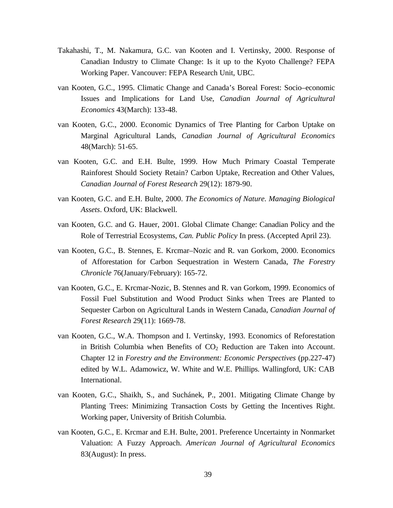- Takahashi, T., M. Nakamura, G.C. van Kooten and I. Vertinsky, 2000. Response of Canadian Industry to Climate Change: Is it up to the Kyoto Challenge? FEPA Working Paper. Vancouver: FEPA Research Unit, UBC.
- van Kooten, G.C., 1995. Climatic Change and Canada's Boreal Forest: Socio–economic Issues and Implications for Land Use, *Canadian Journal of Agricultural Economics* 43(March): 133-48.
- van Kooten, G.C., 2000. Economic Dynamics of Tree Planting for Carbon Uptake on Marginal Agricultural Lands, *Canadian Journal of Agricultural Economics* 48(March): 51-65.
- van Kooten, G.C. and E.H. Bulte, 1999. How Much Primary Coastal Temperate Rainforest Should Society Retain? Carbon Uptake, Recreation and Other Values, *Canadian Journal of Forest Research* 29(12): 1879-90.
- van Kooten, G.C. and E.H. Bulte, 2000. *The Economics of Nature. Managing Biological Assets*. Oxford, UK: Blackwell.
- van Kooten, G.C. and G. Hauer, 2001. Global Climate Change: Canadian Policy and the Role of Terrestrial Ecosystems, *Can. Public Policy* In press. (Accepted April 23).
- van Kooten, G.C., B. Stennes, E. Krcmar–Nozic and R. van Gorkom, 2000. Economics of Afforestation for Carbon Sequestration in Western Canada, *The Forestry Chronicle* 76(January/February): 165-72.
- van Kooten, G.C., E. Krcmar-Nozic, B. Stennes and R. van Gorkom, 1999. Economics of Fossil Fuel Substitution and Wood Product Sinks when Trees are Planted to Sequester Carbon on Agricultural Lands in Western Canada, *Canadian Journal of Forest Research* 29(11): 1669-78.
- van Kooten, G.C., W.A. Thompson and I. Vertinsky, 1993. Economics of Reforestation in British Columbia when Benefits of  $CO<sub>2</sub>$  Reduction are Taken into Account. Chapter 12 in *Forestry and the Environment: Economic Perspectives* (pp.227-47) edited by W.L. Adamowicz, W. White and W.E. Phillips. Wallingford, UK: CAB International.
- van Kooten, G.C., Shaikh, S., and Suchánek, P., 2001. Mitigating Climate Change by Planting Trees: Minimizing Transaction Costs by Getting the Incentives Right. Working paper, University of British Columbia.
- van Kooten, G.C., E. Krcmar and E.H. Bulte, 2001. Preference Uncertainty in Nonmarket Valuation: A Fuzzy Approach. *American Journal of Agricultural Economics* 83(August): In press.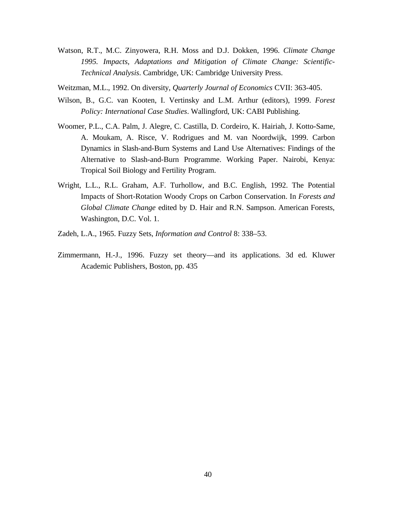- Watson, R.T., M.C. Zinyowera, R.H. Moss and D.J. Dokken, 1996. *Climate Change 1995. Impacts, Adaptations and Mitigation of Climate Change: Scientific-Technical Analysis*. Cambridge, UK: Cambridge University Press.
- Weitzman, M.L., 1992. On diversity, *Quarterly Journal of Economics* CVII: 363-405.
- Wilson, B., G.C. van Kooten, I. Vertinsky and L.M. Arthur (editors), 1999. *Forest Policy: International Case Studies*. Wallingford, UK: CABI Publishing.
- Woomer, P.L., C.A. Palm, J. Alegre, C. Castilla, D. Cordeiro, K. Hairiah, J. Kotto-Same, A. Moukam, A. Risce, V. Rodrigues and M. van Noordwijk, 1999. Carbon Dynamics in Slash-and-Burn Systems and Land Use Alternatives: Findings of the Alternative to Slash-and-Burn Programme. Working Paper. Nairobi, Kenya: Tropical Soil Biology and Fertility Program.
- Wright, L.L., R.L. Graham, A.F. Turhollow, and B.C. English, 1992. The Potential Impacts of Short-Rotation Woody Crops on Carbon Conservation. In *Forests and Global Climate Change* edited by D. Hair and R.N. Sampson. American Forests, Washington, D.C. Vol. 1.
- Zadeh, L.A., 1965. Fuzzy Sets, *Information and Control* 8: 338–53.
- Zimmermann, H.-J., 1996. Fuzzy set theory—and its applications. 3d ed. Kluwer Academic Publishers, Boston, pp. 435